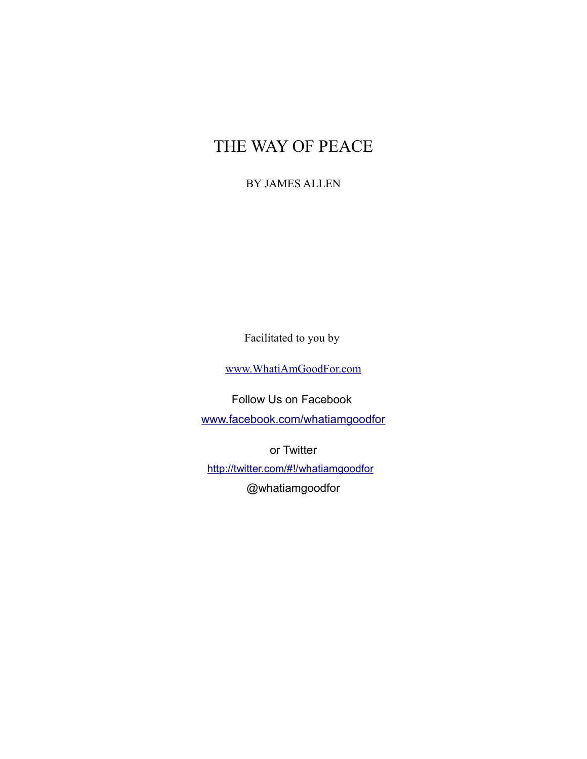# THE WAY OF PEACE

#### BY JAMES ALLEN

Facilitated to you by

[www.WhatiAmGoodFor.com](http://www.whatiamgoodfor.com/)

Follow Us on Facebook

[www.facebook.com/whatiamgoodfor](http://www.facebook.com/whatiamgoodfor)

or Twitter

<http://twitter.com/#!/whatiamgoodfor> @whatiamgoodfor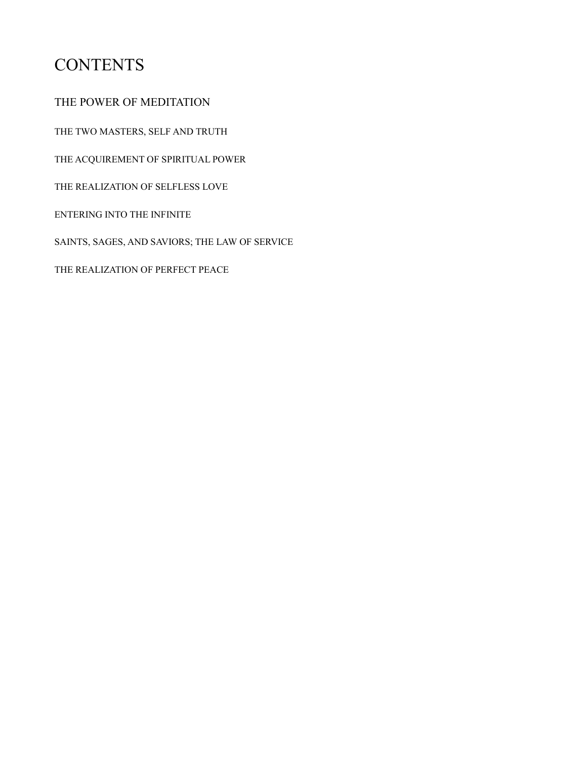### **CONTENTS**

THE POWER OF MEDITATION

THE TWO MASTERS, SELF AND TRUTH

THE ACQUIREMENT OF SPIRITUAL POWER

THE REALIZATION OF SELFLESS LOVE

ENTERING INTO THE INFINITE

SAINTS, SAGES, AND SAVIORS; THE LAW OF SERVICE

THE REALIZATION OF PERFECT PEACE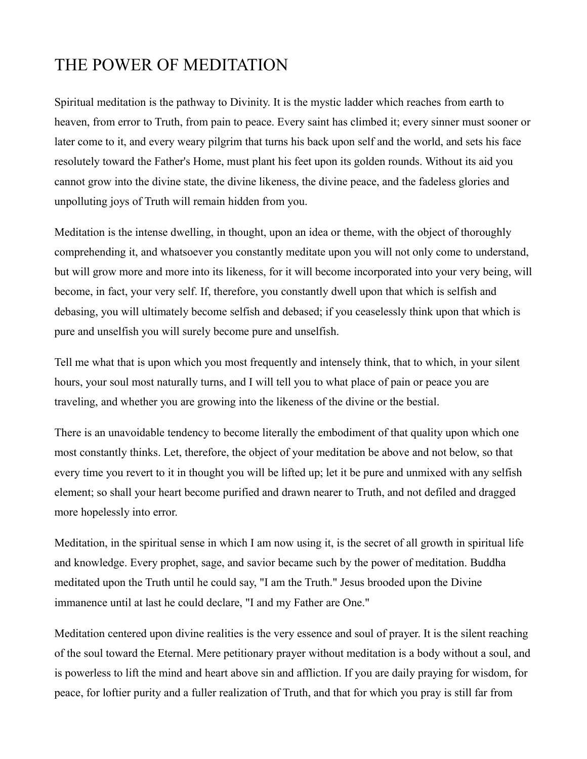#### THE POWER OF MEDITATION

Spiritual meditation is the pathway to Divinity. It is the mystic ladder which reaches from earth to heaven, from error to Truth, from pain to peace. Every saint has climbed it; every sinner must sooner or later come to it, and every weary pilgrim that turns his back upon self and the world, and sets his face resolutely toward the Father's Home, must plant his feet upon its golden rounds. Without its aid you cannot grow into the divine state, the divine likeness, the divine peace, and the fadeless glories and unpolluting joys of Truth will remain hidden from you.

Meditation is the intense dwelling, in thought, upon an idea or theme, with the object of thoroughly comprehending it, and whatsoever you constantly meditate upon you will not only come to understand, but will grow more and more into its likeness, for it will become incorporated into your very being, will become, in fact, your very self. If, therefore, you constantly dwell upon that which is selfish and debasing, you will ultimately become selfish and debased; if you ceaselessly think upon that which is pure and unselfish you will surely become pure and unselfish.

Tell me what that is upon which you most frequently and intensely think, that to which, in your silent hours, your soul most naturally turns, and I will tell you to what place of pain or peace you are traveling, and whether you are growing into the likeness of the divine or the bestial.

There is an unavoidable tendency to become literally the embodiment of that quality upon which one most constantly thinks. Let, therefore, the object of your meditation be above and not below, so that every time you revert to it in thought you will be lifted up; let it be pure and unmixed with any selfish element; so shall your heart become purified and drawn nearer to Truth, and not defiled and dragged more hopelessly into error.

Meditation, in the spiritual sense in which I am now using it, is the secret of all growth in spiritual life and knowledge. Every prophet, sage, and savior became such by the power of meditation. Buddha meditated upon the Truth until he could say, "I am the Truth." Jesus brooded upon the Divine immanence until at last he could declare, "I and my Father are One."

Meditation centered upon divine realities is the very essence and soul of prayer. It is the silent reaching of the soul toward the Eternal. Mere petitionary prayer without meditation is a body without a soul, and is powerless to lift the mind and heart above sin and affliction. If you are daily praying for wisdom, for peace, for loftier purity and a fuller realization of Truth, and that for which you pray is still far from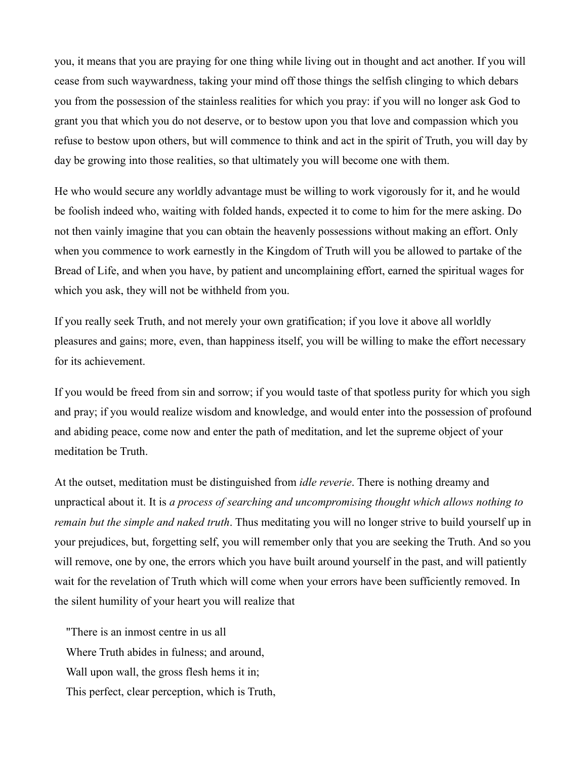you, it means that you are praying for one thing while living out in thought and act another. If you will cease from such waywardness, taking your mind off those things the selfish clinging to which debars you from the possession of the stainless realities for which you pray: if you will no longer ask God to grant you that which you do not deserve, or to bestow upon you that love and compassion which you refuse to bestow upon others, but will commence to think and act in the spirit of Truth, you will day by day be growing into those realities, so that ultimately you will become one with them.

He who would secure any worldly advantage must be willing to work vigorously for it, and he would be foolish indeed who, waiting with folded hands, expected it to come to him for the mere asking. Do not then vainly imagine that you can obtain the heavenly possessions without making an effort. Only when you commence to work earnestly in the Kingdom of Truth will you be allowed to partake of the Bread of Life, and when you have, by patient and uncomplaining effort, earned the spiritual wages for which you ask, they will not be withheld from you.

If you really seek Truth, and not merely your own gratification; if you love it above all worldly pleasures and gains; more, even, than happiness itself, you will be willing to make the effort necessary for its achievement.

If you would be freed from sin and sorrow; if you would taste of that spotless purity for which you sigh and pray; if you would realize wisdom and knowledge, and would enter into the possession of profound and abiding peace, come now and enter the path of meditation, and let the supreme object of your meditation be Truth.

At the outset, meditation must be distinguished from *idle reverie*. There is nothing dreamy and unpractical about it. It is *a process of searching and uncompromising thought which allows nothing to remain but the simple and naked truth*. Thus meditating you will no longer strive to build yourself up in your prejudices, but, forgetting self, you will remember only that you are seeking the Truth. And so you will remove, one by one, the errors which you have built around yourself in the past, and will patiently wait for the revelation of Truth which will come when your errors have been sufficiently removed. In the silent humility of your heart you will realize that

"There is an inmost centre in us all Where Truth abides in fulness; and around, Wall upon wall, the gross flesh hems it in; This perfect, clear perception, which is Truth,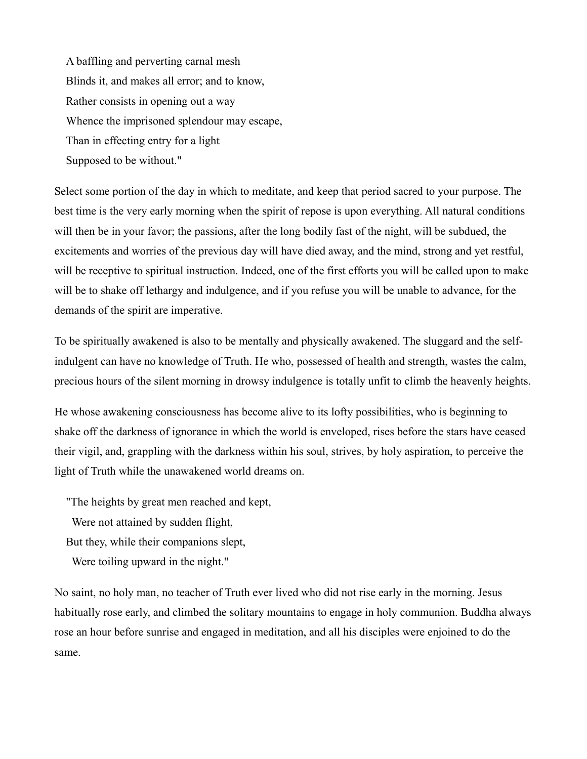A baffling and perverting carnal mesh Blinds it, and makes all error; and to know, Rather consists in opening out a way Whence the imprisoned splendour may escape, Than in effecting entry for a light Supposed to be without."

Select some portion of the day in which to meditate, and keep that period sacred to your purpose. The best time is the very early morning when the spirit of repose is upon everything. All natural conditions will then be in your favor; the passions, after the long bodily fast of the night, will be subdued, the excitements and worries of the previous day will have died away, and the mind, strong and yet restful, will be receptive to spiritual instruction. Indeed, one of the first efforts you will be called upon to make will be to shake off lethargy and indulgence, and if you refuse you will be unable to advance, for the demands of the spirit are imperative.

To be spiritually awakened is also to be mentally and physically awakened. The sluggard and the selfindulgent can have no knowledge of Truth. He who, possessed of health and strength, wastes the calm, precious hours of the silent morning in drowsy indulgence is totally unfit to climb the heavenly heights.

He whose awakening consciousness has become alive to its lofty possibilities, who is beginning to shake off the darkness of ignorance in which the world is enveloped, rises before the stars have ceased their vigil, and, grappling with the darkness within his soul, strives, by holy aspiration, to perceive the light of Truth while the unawakened world dreams on.

"The heights by great men reached and kept,

Were not attained by sudden flight,

But they, while their companions slept,

Were toiling upward in the night."

No saint, no holy man, no teacher of Truth ever lived who did not rise early in the morning. Jesus habitually rose early, and climbed the solitary mountains to engage in holy communion. Buddha always rose an hour before sunrise and engaged in meditation, and all his disciples were enjoined to do the same.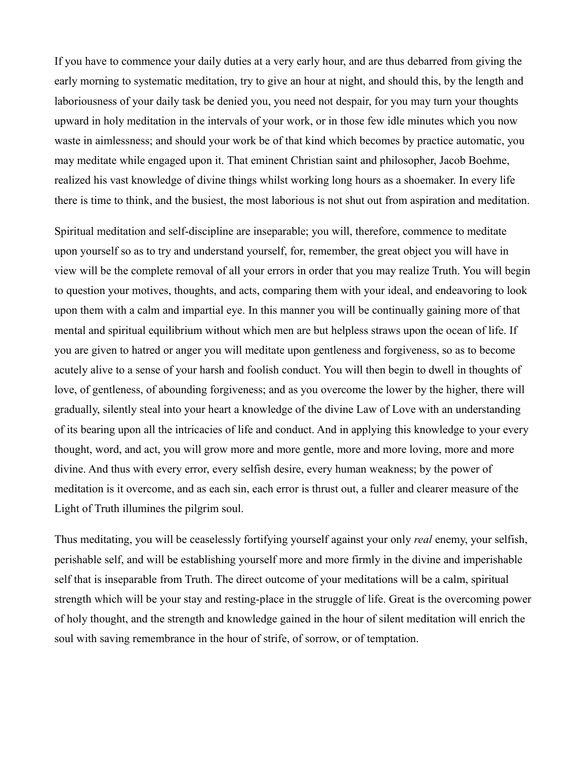If you have to commence your daily duties at a very early hour, and are thus debarred from giving the early morning to systematic meditation, try to give an hour at night, and should this, by the length and laboriousness of your daily task be denied you, you need not despair, for you may turn your thoughts upward in holy meditation in the intervals of your work, or in those few idle minutes which you now waste in aimlessness; and should your work be of that kind which becomes by practice automatic, you may meditate while engaged upon it. That eminent Christian saint and philosopher, Jacob Boehme, realized his vast knowledge of divine things whilst working long hours as a shoemaker. In every life there is time to think, and the busiest, the most laborious is not shut out from aspiration and meditation.

Spiritual meditation and self-discipline are inseparable; you will, therefore, commence to meditate upon yourself so as to try and understand yourself, for, remember, the great object you will have in view will be the complete removal of all your errors in order that you may realize Truth. You will begin to question your motives, thoughts, and acts, comparing them with your ideal, and endeavoring to look upon them with a calm and impartial eye. In this manner you will be continually gaining more of that mental and spiritual equilibrium without which men are but helpless straws upon the ocean of life. If you are given to hatred or anger you will meditate upon gentleness and forgiveness, so as to become acutely alive to a sense of your harsh and foolish conduct. You will then begin to dwell in thoughts of love, of gentleness, of abounding forgiveness; and as you overcome the lower by the higher, there will gradually, silently steal into your heart a knowledge of the divine Law of Love with an understanding of its bearing upon all the intricacies of life and conduct. And in applying this knowledge to your every thought, word, and act, you will grow more and more gentle, more and more loving, more and more divine. And thus with every error, every selfish desire, every human weakness; by the power of meditation is it overcome, and as each sin, each error is thrust out, a fuller and clearer measure of the Light of Truth illumines the pilgrim soul.

Thus meditating, you will be ceaselessly fortifying yourself against your only *real* enemy, your selfish, perishable self, and will be establishing yourself more and more firmly in the divine and imperishable self that is inseparable from Truth. The direct outcome of your meditations will be a calm, spiritual strength which will be your stay and resting-place in the struggle of life. Great is the overcoming power of holy thought, and the strength and knowledge gained in the hour of silent meditation will enrich the soul with saving remembrance in the hour of strife, of sorrow, or of temptation.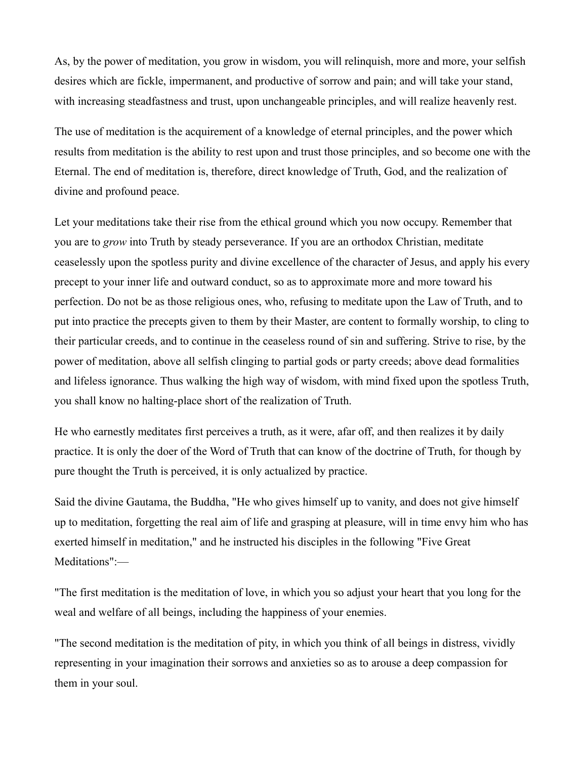As, by the power of meditation, you grow in wisdom, you will relinquish, more and more, your selfish desires which are fickle, impermanent, and productive of sorrow and pain; and will take your stand, with increasing steadfastness and trust, upon unchangeable principles, and will realize heavenly rest.

The use of meditation is the acquirement of a knowledge of eternal principles, and the power which results from meditation is the ability to rest upon and trust those principles, and so become one with the Eternal. The end of meditation is, therefore, direct knowledge of Truth, God, and the realization of divine and profound peace.

Let your meditations take their rise from the ethical ground which you now occupy. Remember that you are to *grow* into Truth by steady perseverance. If you are an orthodox Christian, meditate ceaselessly upon the spotless purity and divine excellence of the character of Jesus, and apply his every precept to your inner life and outward conduct, so as to approximate more and more toward his perfection. Do not be as those religious ones, who, refusing to meditate upon the Law of Truth, and to put into practice the precepts given to them by their Master, are content to formally worship, to cling to their particular creeds, and to continue in the ceaseless round of sin and suffering. Strive to rise, by the power of meditation, above all selfish clinging to partial gods or party creeds; above dead formalities and lifeless ignorance. Thus walking the high way of wisdom, with mind fixed upon the spotless Truth, you shall know no halting-place short of the realization of Truth.

He who earnestly meditates first perceives a truth, as it were, afar off, and then realizes it by daily practice. It is only the doer of the Word of Truth that can know of the doctrine of Truth, for though by pure thought the Truth is perceived, it is only actualized by practice.

Said the divine Gautama, the Buddha, "He who gives himself up to vanity, and does not give himself up to meditation, forgetting the real aim of life and grasping at pleasure, will in time envy him who has exerted himself in meditation," and he instructed his disciples in the following "Five Great Meditations":—

"The first meditation is the meditation of love, in which you so adjust your heart that you long for the weal and welfare of all beings, including the happiness of your enemies.

"The second meditation is the meditation of pity, in which you think of all beings in distress, vividly representing in your imagination their sorrows and anxieties so as to arouse a deep compassion for them in your soul.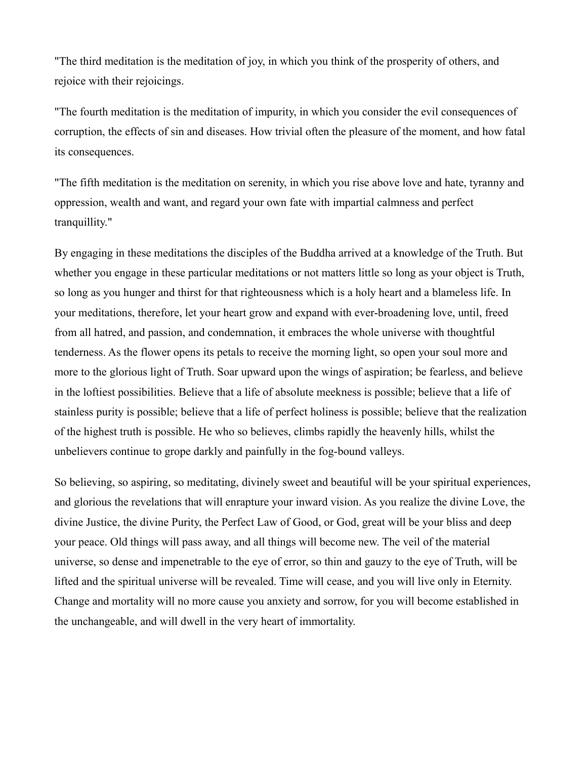"The third meditation is the meditation of joy, in which you think of the prosperity of others, and rejoice with their rejoicings.

"The fourth meditation is the meditation of impurity, in which you consider the evil consequences of corruption, the effects of sin and diseases. How trivial often the pleasure of the moment, and how fatal its consequences.

"The fifth meditation is the meditation on serenity, in which you rise above love and hate, tyranny and oppression, wealth and want, and regard your own fate with impartial calmness and perfect tranquillity."

By engaging in these meditations the disciples of the Buddha arrived at a knowledge of the Truth. But whether you engage in these particular meditations or not matters little so long as your object is Truth, so long as you hunger and thirst for that righteousness which is a holy heart and a blameless life. In your meditations, therefore, let your heart grow and expand with ever-broadening love, until, freed from all hatred, and passion, and condemnation, it embraces the whole universe with thoughtful tenderness. As the flower opens its petals to receive the morning light, so open your soul more and more to the glorious light of Truth. Soar upward upon the wings of aspiration; be fearless, and believe in the loftiest possibilities. Believe that a life of absolute meekness is possible; believe that a life of stainless purity is possible; believe that a life of perfect holiness is possible; believe that the realization of the highest truth is possible. He who so believes, climbs rapidly the heavenly hills, whilst the unbelievers continue to grope darkly and painfully in the fog-bound valleys.

So believing, so aspiring, so meditating, divinely sweet and beautiful will be your spiritual experiences, and glorious the revelations that will enrapture your inward vision. As you realize the divine Love, the divine Justice, the divine Purity, the Perfect Law of Good, or God, great will be your bliss and deep your peace. Old things will pass away, and all things will become new. The veil of the material universe, so dense and impenetrable to the eye of error, so thin and gauzy to the eye of Truth, will be lifted and the spiritual universe will be revealed. Time will cease, and you will live only in Eternity. Change and mortality will no more cause you anxiety and sorrow, for you will become established in the unchangeable, and will dwell in the very heart of immortality.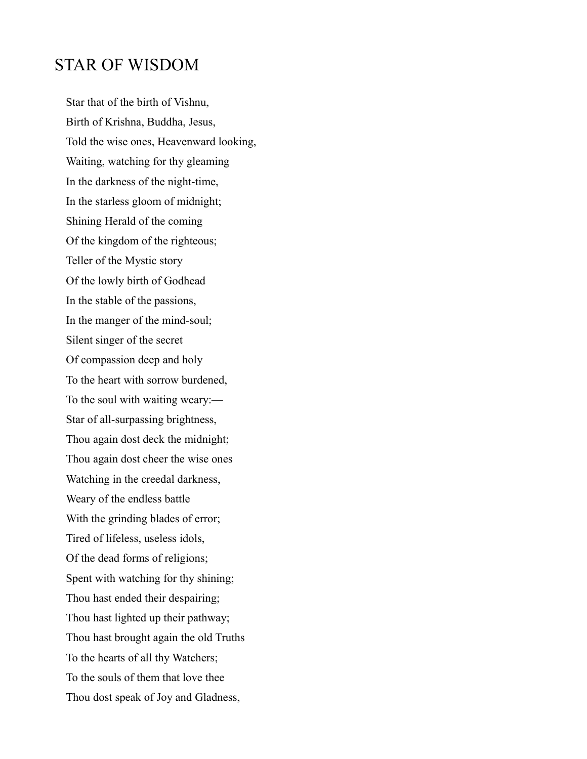#### STAR OF WISDOM

Star that of the birth of Vishnu, Birth of Krishna, Buddha, Jesus, Told the wise ones, Heavenward looking, Waiting, watching for thy gleaming In the darkness of the night-time, In the starless gloom of midnight; Shining Herald of the coming Of the kingdom of the righteous; Teller of the Mystic story Of the lowly birth of Godhead In the stable of the passions, In the manger of the mind-soul; Silent singer of the secret Of compassion deep and holy To the heart with sorrow burdened, To the soul with waiting weary:— Star of all-surpassing brightness, Thou again dost deck the midnight; Thou again dost cheer the wise ones Watching in the creedal darkness, Weary of the endless battle With the grinding blades of error; Tired of lifeless, useless idols, Of the dead forms of religions; Spent with watching for thy shining; Thou hast ended their despairing; Thou hast lighted up their pathway; Thou hast brought again the old Truths To the hearts of all thy Watchers; To the souls of them that love thee Thou dost speak of Joy and Gladness,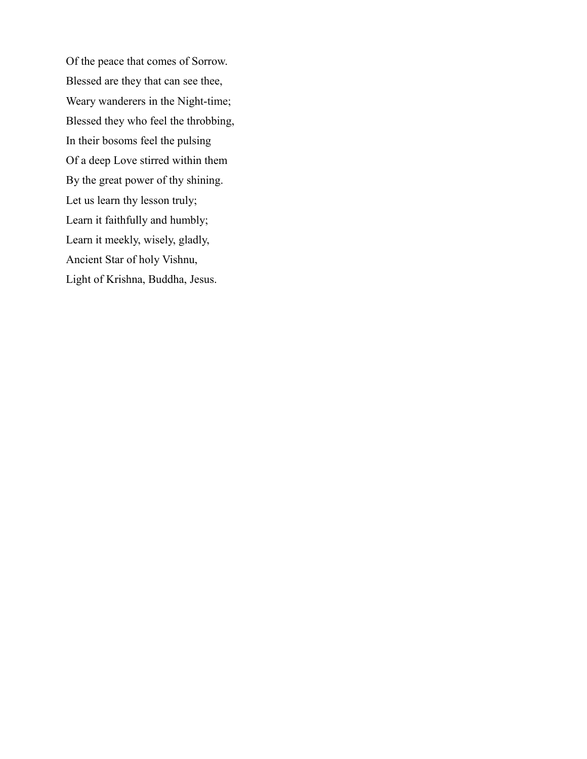Of the peace that comes of Sorrow. Blessed are they that can see thee, Weary wanderers in the Night-time; Blessed they who feel the throbbing, In their bosoms feel the pulsing Of a deep Love stirred within them By the great power of thy shining. Let us learn thy lesson truly; Learn it faithfully and humbly; Learn it meekly, wisely, gladly, Ancient Star of holy Vishnu, Light of Krishna, Buddha, Jesus.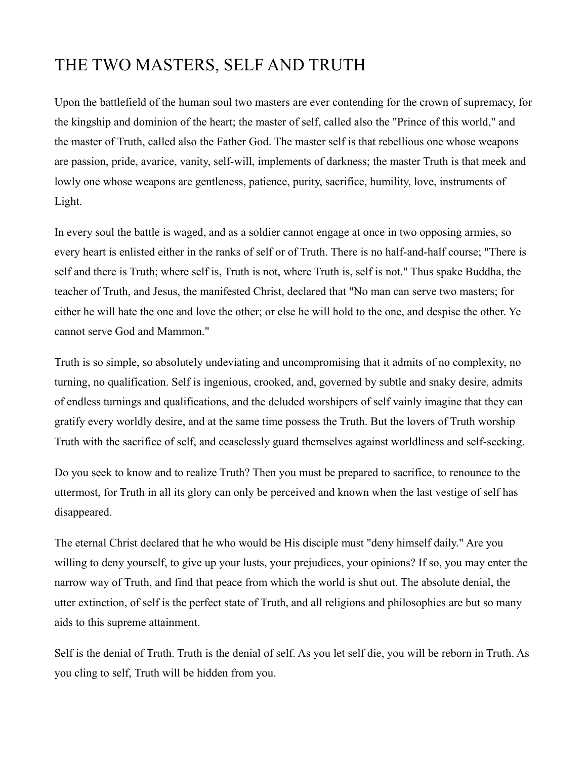### THE TWO MASTERS, SELF AND TRUTH

Upon the battlefield of the human soul two masters are ever contending for the crown of supremacy, for the kingship and dominion of the heart; the master of self, called also the "Prince of this world," and the master of Truth, called also the Father God. The master self is that rebellious one whose weapons are passion, pride, avarice, vanity, self-will, implements of darkness; the master Truth is that meek and lowly one whose weapons are gentleness, patience, purity, sacrifice, humility, love, instruments of Light.

In every soul the battle is waged, and as a soldier cannot engage at once in two opposing armies, so every heart is enlisted either in the ranks of self or of Truth. There is no half-and-half course; "There is self and there is Truth; where self is, Truth is not, where Truth is, self is not." Thus spake Buddha, the teacher of Truth, and Jesus, the manifested Christ, declared that "No man can serve two masters; for either he will hate the one and love the other; or else he will hold to the one, and despise the other. Ye cannot serve God and Mammon."

Truth is so simple, so absolutely undeviating and uncompromising that it admits of no complexity, no turning, no qualification. Self is ingenious, crooked, and, governed by subtle and snaky desire, admits of endless turnings and qualifications, and the deluded worshipers of self vainly imagine that they can gratify every worldly desire, and at the same time possess the Truth. But the lovers of Truth worship Truth with the sacrifice of self, and ceaselessly guard themselves against worldliness and self-seeking.

Do you seek to know and to realize Truth? Then you must be prepared to sacrifice, to renounce to the uttermost, for Truth in all its glory can only be perceived and known when the last vestige of self has disappeared.

The eternal Christ declared that he who would be His disciple must "deny himself daily." Are you willing to deny yourself, to give up your lusts, your prejudices, your opinions? If so, you may enter the narrow way of Truth, and find that peace from which the world is shut out. The absolute denial, the utter extinction, of self is the perfect state of Truth, and all religions and philosophies are but so many aids to this supreme attainment.

Self is the denial of Truth. Truth is the denial of self. As you let self die, you will be reborn in Truth. As you cling to self, Truth will be hidden from you.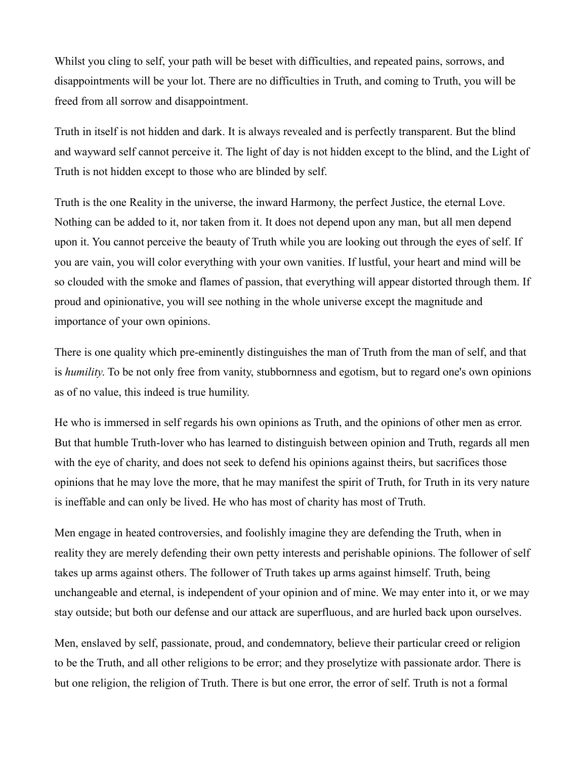Whilst you cling to self, your path will be beset with difficulties, and repeated pains, sorrows, and disappointments will be your lot. There are no difficulties in Truth, and coming to Truth, you will be freed from all sorrow and disappointment.

Truth in itself is not hidden and dark. It is always revealed and is perfectly transparent. But the blind and wayward self cannot perceive it. The light of day is not hidden except to the blind, and the Light of Truth is not hidden except to those who are blinded by self.

Truth is the one Reality in the universe, the inward Harmony, the perfect Justice, the eternal Love. Nothing can be added to it, nor taken from it. It does not depend upon any man, but all men depend upon it. You cannot perceive the beauty of Truth while you are looking out through the eyes of self. If you are vain, you will color everything with your own vanities. If lustful, your heart and mind will be so clouded with the smoke and flames of passion, that everything will appear distorted through them. If proud and opinionative, you will see nothing in the whole universe except the magnitude and importance of your own opinions.

There is one quality which pre-eminently distinguishes the man of Truth from the man of self, and that is *humility*. To be not only free from vanity, stubbornness and egotism, but to regard one's own opinions as of no value, this indeed is true humility.

He who is immersed in self regards his own opinions as Truth, and the opinions of other men as error. But that humble Truth-lover who has learned to distinguish between opinion and Truth, regards all men with the eye of charity, and does not seek to defend his opinions against theirs, but sacrifices those opinions that he may love the more, that he may manifest the spirit of Truth, for Truth in its very nature is ineffable and can only be lived. He who has most of charity has most of Truth.

Men engage in heated controversies, and foolishly imagine they are defending the Truth, when in reality they are merely defending their own petty interests and perishable opinions. The follower of self takes up arms against others. The follower of Truth takes up arms against himself. Truth, being unchangeable and eternal, is independent of your opinion and of mine. We may enter into it, or we may stay outside; but both our defense and our attack are superfluous, and are hurled back upon ourselves.

Men, enslaved by self, passionate, proud, and condemnatory, believe their particular creed or religion to be the Truth, and all other religions to be error; and they proselytize with passionate ardor. There is but one religion, the religion of Truth. There is but one error, the error of self. Truth is not a formal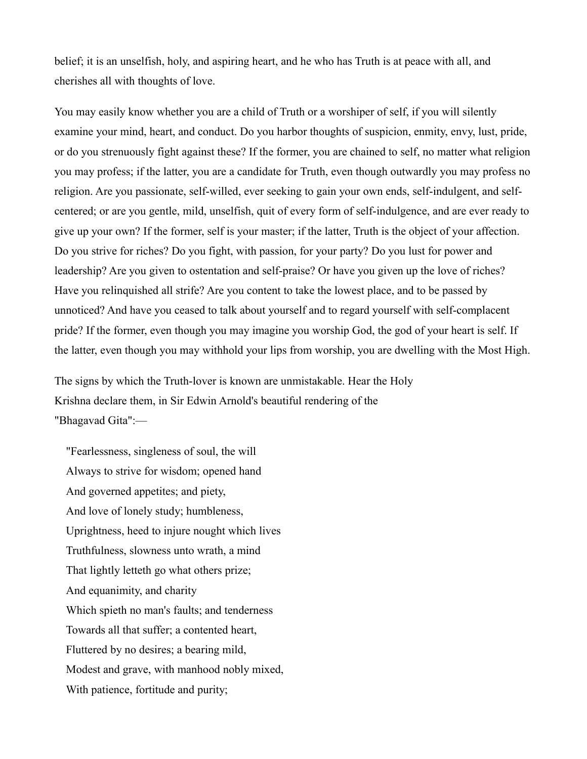belief; it is an unselfish, holy, and aspiring heart, and he who has Truth is at peace with all, and cherishes all with thoughts of love.

You may easily know whether you are a child of Truth or a worshiper of self, if you will silently examine your mind, heart, and conduct. Do you harbor thoughts of suspicion, enmity, envy, lust, pride, or do you strenuously fight against these? If the former, you are chained to self, no matter what religion you may profess; if the latter, you are a candidate for Truth, even though outwardly you may profess no religion. Are you passionate, self-willed, ever seeking to gain your own ends, self-indulgent, and selfcentered; or are you gentle, mild, unselfish, quit of every form of self-indulgence, and are ever ready to give up your own? If the former, self is your master; if the latter, Truth is the object of your affection. Do you strive for riches? Do you fight, with passion, for your party? Do you lust for power and leadership? Are you given to ostentation and self-praise? Or have you given up the love of riches? Have you relinquished all strife? Are you content to take the lowest place, and to be passed by unnoticed? And have you ceased to talk about yourself and to regard yourself with self-complacent pride? If the former, even though you may imagine you worship God, the god of your heart is self. If the latter, even though you may withhold your lips from worship, you are dwelling with the Most High.

The signs by which the Truth-lover is known are unmistakable. Hear the Holy Krishna declare them, in Sir Edwin Arnold's beautiful rendering of the "Bhagavad Gita":—

"Fearlessness, singleness of soul, the will Always to strive for wisdom; opened hand And governed appetites; and piety, And love of lonely study; humbleness, Uprightness, heed to injure nought which lives Truthfulness, slowness unto wrath, a mind That lightly letteth go what others prize; And equanimity, and charity Which spieth no man's faults; and tenderness Towards all that suffer; a contented heart, Fluttered by no desires; a bearing mild, Modest and grave, with manhood nobly mixed, With patience, fortitude and purity;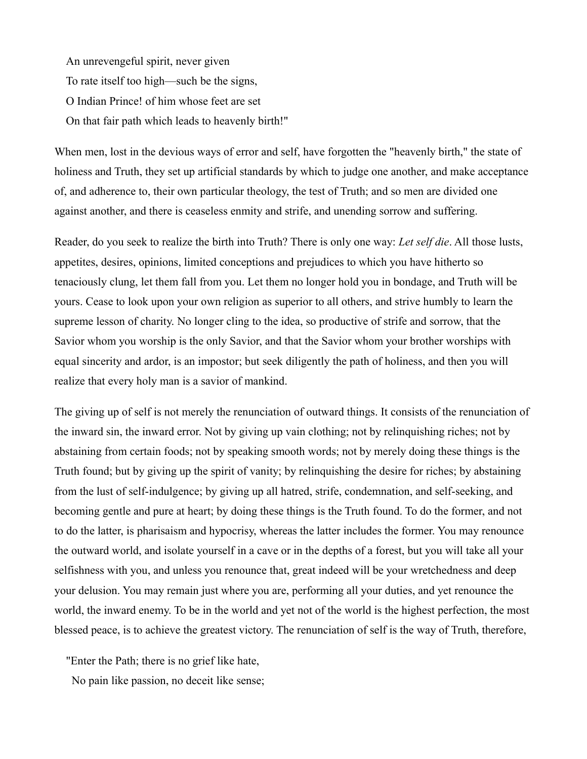An unrevengeful spirit, never given To rate itself too high—such be the signs, O Indian Prince! of him whose feet are set On that fair path which leads to heavenly birth!"

When men, lost in the devious ways of error and self, have forgotten the "heavenly birth," the state of holiness and Truth, they set up artificial standards by which to judge one another, and make acceptance of, and adherence to, their own particular theology, the test of Truth; and so men are divided one against another, and there is ceaseless enmity and strife, and unending sorrow and suffering.

Reader, do you seek to realize the birth into Truth? There is only one way: *Let self die*. All those lusts, appetites, desires, opinions, limited conceptions and prejudices to which you have hitherto so tenaciously clung, let them fall from you. Let them no longer hold you in bondage, and Truth will be yours. Cease to look upon your own religion as superior to all others, and strive humbly to learn the supreme lesson of charity. No longer cling to the idea, so productive of strife and sorrow, that the Savior whom you worship is the only Savior, and that the Savior whom your brother worships with equal sincerity and ardor, is an impostor; but seek diligently the path of holiness, and then you will realize that every holy man is a savior of mankind.

The giving up of self is not merely the renunciation of outward things. It consists of the renunciation of the inward sin, the inward error. Not by giving up vain clothing; not by relinquishing riches; not by abstaining from certain foods; not by speaking smooth words; not by merely doing these things is the Truth found; but by giving up the spirit of vanity; by relinquishing the desire for riches; by abstaining from the lust of self-indulgence; by giving up all hatred, strife, condemnation, and self-seeking, and becoming gentle and pure at heart; by doing these things is the Truth found. To do the former, and not to do the latter, is pharisaism and hypocrisy, whereas the latter includes the former. You may renounce the outward world, and isolate yourself in a cave or in the depths of a forest, but you will take all your selfishness with you, and unless you renounce that, great indeed will be your wretchedness and deep your delusion. You may remain just where you are, performing all your duties, and yet renounce the world, the inward enemy. To be in the world and yet not of the world is the highest perfection, the most blessed peace, is to achieve the greatest victory. The renunciation of self is the way of Truth, therefore,

"Enter the Path; there is no grief like hate,

No pain like passion, no deceit like sense;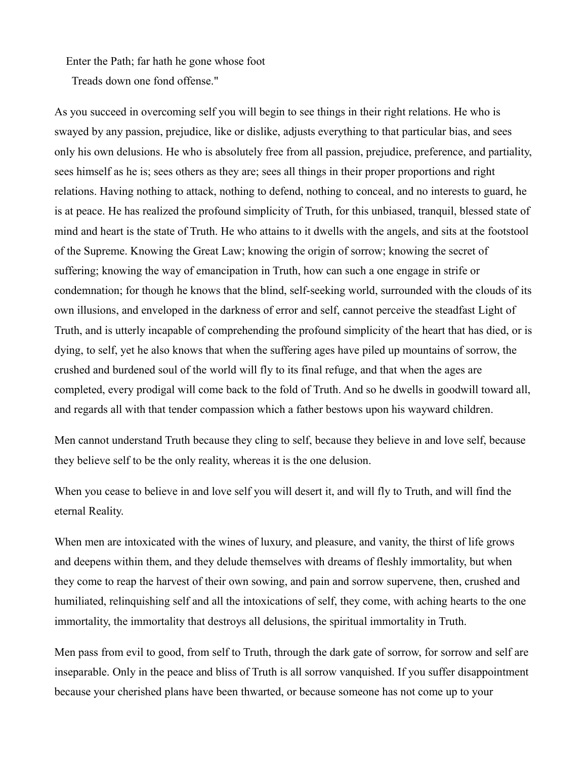Enter the Path; far hath he gone whose foot

Treads down one fond offense."

As you succeed in overcoming self you will begin to see things in their right relations. He who is swayed by any passion, prejudice, like or dislike, adjusts everything to that particular bias, and sees only his own delusions. He who is absolutely free from all passion, prejudice, preference, and partiality, sees himself as he is; sees others as they are; sees all things in their proper proportions and right relations. Having nothing to attack, nothing to defend, nothing to conceal, and no interests to guard, he is at peace. He has realized the profound simplicity of Truth, for this unbiased, tranquil, blessed state of mind and heart is the state of Truth. He who attains to it dwells with the angels, and sits at the footstool of the Supreme. Knowing the Great Law; knowing the origin of sorrow; knowing the secret of suffering; knowing the way of emancipation in Truth, how can such a one engage in strife or condemnation; for though he knows that the blind, self-seeking world, surrounded with the clouds of its own illusions, and enveloped in the darkness of error and self, cannot perceive the steadfast Light of Truth, and is utterly incapable of comprehending the profound simplicity of the heart that has died, or is dying, to self, yet he also knows that when the suffering ages have piled up mountains of sorrow, the crushed and burdened soul of the world will fly to its final refuge, and that when the ages are completed, every prodigal will come back to the fold of Truth. And so he dwells in goodwill toward all, and regards all with that tender compassion which a father bestows upon his wayward children.

Men cannot understand Truth because they cling to self, because they believe in and love self, because they believe self to be the only reality, whereas it is the one delusion.

When you cease to believe in and love self you will desert it, and will fly to Truth, and will find the eternal Reality.

When men are intoxicated with the wines of luxury, and pleasure, and vanity, the thirst of life grows and deepens within them, and they delude themselves with dreams of fleshly immortality, but when they come to reap the harvest of their own sowing, and pain and sorrow supervene, then, crushed and humiliated, relinquishing self and all the intoxications of self, they come, with aching hearts to the one immortality, the immortality that destroys all delusions, the spiritual immortality in Truth.

Men pass from evil to good, from self to Truth, through the dark gate of sorrow, for sorrow and self are inseparable. Only in the peace and bliss of Truth is all sorrow vanquished. If you suffer disappointment because your cherished plans have been thwarted, or because someone has not come up to your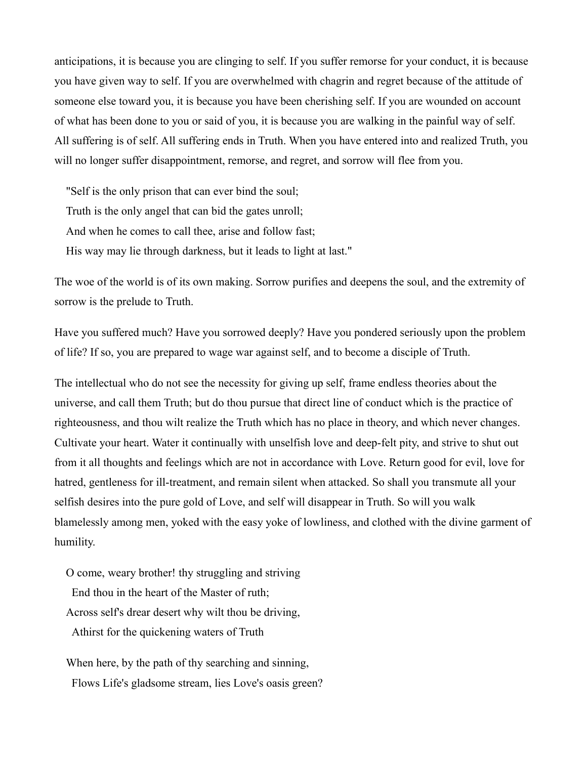anticipations, it is because you are clinging to self. If you suffer remorse for your conduct, it is because you have given way to self. If you are overwhelmed with chagrin and regret because of the attitude of someone else toward you, it is because you have been cherishing self. If you are wounded on account of what has been done to you or said of you, it is because you are walking in the painful way of self. All suffering is of self. All suffering ends in Truth. When you have entered into and realized Truth, you will no longer suffer disappointment, remorse, and regret, and sorrow will flee from you.

"Self is the only prison that can ever bind the soul;

Truth is the only angel that can bid the gates unroll;

And when he comes to call thee, arise and follow fast;

His way may lie through darkness, but it leads to light at last."

The woe of the world is of its own making. Sorrow purifies and deepens the soul, and the extremity of sorrow is the prelude to Truth.

Have you suffered much? Have you sorrowed deeply? Have you pondered seriously upon the problem of life? If so, you are prepared to wage war against self, and to become a disciple of Truth.

The intellectual who do not see the necessity for giving up self, frame endless theories about the universe, and call them Truth; but do thou pursue that direct line of conduct which is the practice of righteousness, and thou wilt realize the Truth which has no place in theory, and which never changes. Cultivate your heart. Water it continually with unselfish love and deep-felt pity, and strive to shut out from it all thoughts and feelings which are not in accordance with Love. Return good for evil, love for hatred, gentleness for ill-treatment, and remain silent when attacked. So shall you transmute all your selfish desires into the pure gold of Love, and self will disappear in Truth. So will you walk blamelessly among men, yoked with the easy yoke of lowliness, and clothed with the divine garment of humility.

O come, weary brother! thy struggling and striving End thou in the heart of the Master of ruth; Across self's drear desert why wilt thou be driving, Athirst for the quickening waters of Truth

When here, by the path of thy searching and sinning, Flows Life's gladsome stream, lies Love's oasis green?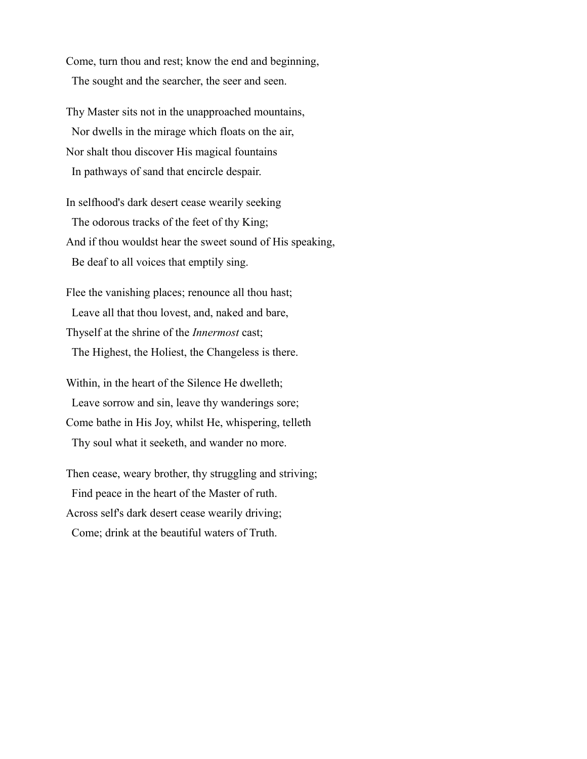Come, turn thou and rest; know the end and beginning, The sought and the searcher, the seer and seen.

Thy Master sits not in the unapproached mountains, Nor dwells in the mirage which floats on the air, Nor shalt thou discover His magical fountains In pathways of sand that encircle despair.

In selfhood's dark desert cease wearily seeking The odorous tracks of the feet of thy King; And if thou wouldst hear the sweet sound of His speaking, Be deaf to all voices that emptily sing.

Flee the vanishing places; renounce all thou hast; Leave all that thou lovest, and, naked and bare, Thyself at the shrine of the *Innermost* cast; The Highest, the Holiest, the Changeless is there.

Within, in the heart of the Silence He dwelleth; Leave sorrow and sin, leave thy wanderings sore; Come bathe in His Joy, whilst He, whispering, telleth Thy soul what it seeketh, and wander no more.

Then cease, weary brother, thy struggling and striving; Find peace in the heart of the Master of ruth. Across self's dark desert cease wearily driving; Come; drink at the beautiful waters of Truth.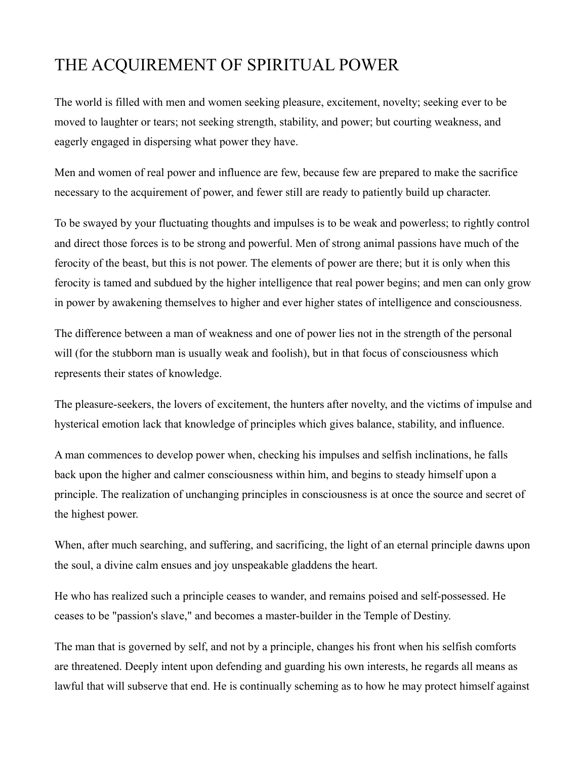#### THE ACQUIREMENT OF SPIRITUAL POWER

The world is filled with men and women seeking pleasure, excitement, novelty; seeking ever to be moved to laughter or tears; not seeking strength, stability, and power; but courting weakness, and eagerly engaged in dispersing what power they have.

Men and women of real power and influence are few, because few are prepared to make the sacrifice necessary to the acquirement of power, and fewer still are ready to patiently build up character.

To be swayed by your fluctuating thoughts and impulses is to be weak and powerless; to rightly control and direct those forces is to be strong and powerful. Men of strong animal passions have much of the ferocity of the beast, but this is not power. The elements of power are there; but it is only when this ferocity is tamed and subdued by the higher intelligence that real power begins; and men can only grow in power by awakening themselves to higher and ever higher states of intelligence and consciousness.

The difference between a man of weakness and one of power lies not in the strength of the personal will (for the stubborn man is usually weak and foolish), but in that focus of consciousness which represents their states of knowledge.

The pleasure-seekers, the lovers of excitement, the hunters after novelty, and the victims of impulse and hysterical emotion lack that knowledge of principles which gives balance, stability, and influence.

A man commences to develop power when, checking his impulses and selfish inclinations, he falls back upon the higher and calmer consciousness within him, and begins to steady himself upon a principle. The realization of unchanging principles in consciousness is at once the source and secret of the highest power.

When, after much searching, and suffering, and sacrificing, the light of an eternal principle dawns upon the soul, a divine calm ensues and joy unspeakable gladdens the heart.

He who has realized such a principle ceases to wander, and remains poised and self-possessed. He ceases to be "passion's slave," and becomes a master-builder in the Temple of Destiny.

The man that is governed by self, and not by a principle, changes his front when his selfish comforts are threatened. Deeply intent upon defending and guarding his own interests, he regards all means as lawful that will subserve that end. He is continually scheming as to how he may protect himself against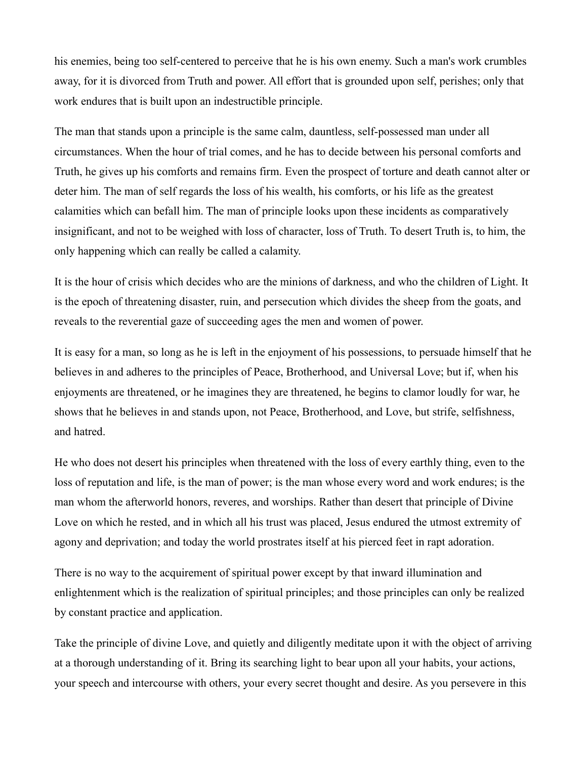his enemies, being too self-centered to perceive that he is his own enemy. Such a man's work crumbles away, for it is divorced from Truth and power. All effort that is grounded upon self, perishes; only that work endures that is built upon an indestructible principle.

The man that stands upon a principle is the same calm, dauntless, self-possessed man under all circumstances. When the hour of trial comes, and he has to decide between his personal comforts and Truth, he gives up his comforts and remains firm. Even the prospect of torture and death cannot alter or deter him. The man of self regards the loss of his wealth, his comforts, or his life as the greatest calamities which can befall him. The man of principle looks upon these incidents as comparatively insignificant, and not to be weighed with loss of character, loss of Truth. To desert Truth is, to him, the only happening which can really be called a calamity.

It is the hour of crisis which decides who are the minions of darkness, and who the children of Light. It is the epoch of threatening disaster, ruin, and persecution which divides the sheep from the goats, and reveals to the reverential gaze of succeeding ages the men and women of power.

It is easy for a man, so long as he is left in the enjoyment of his possessions, to persuade himself that he believes in and adheres to the principles of Peace, Brotherhood, and Universal Love; but if, when his enjoyments are threatened, or he imagines they are threatened, he begins to clamor loudly for war, he shows that he believes in and stands upon, not Peace, Brotherhood, and Love, but strife, selfishness, and hatred.

He who does not desert his principles when threatened with the loss of every earthly thing, even to the loss of reputation and life, is the man of power; is the man whose every word and work endures; is the man whom the afterworld honors, reveres, and worships. Rather than desert that principle of Divine Love on which he rested, and in which all his trust was placed, Jesus endured the utmost extremity of agony and deprivation; and today the world prostrates itself at his pierced feet in rapt adoration.

There is no way to the acquirement of spiritual power except by that inward illumination and enlightenment which is the realization of spiritual principles; and those principles can only be realized by constant practice and application.

Take the principle of divine Love, and quietly and diligently meditate upon it with the object of arriving at a thorough understanding of it. Bring its searching light to bear upon all your habits, your actions, your speech and intercourse with others, your every secret thought and desire. As you persevere in this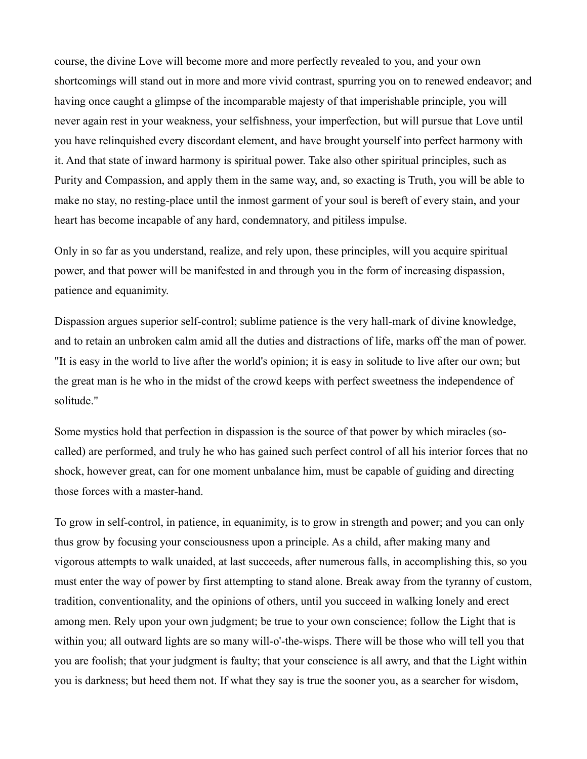course, the divine Love will become more and more perfectly revealed to you, and your own shortcomings will stand out in more and more vivid contrast, spurring you on to renewed endeavor; and having once caught a glimpse of the incomparable majesty of that imperishable principle, you will never again rest in your weakness, your selfishness, your imperfection, but will pursue that Love until you have relinquished every discordant element, and have brought yourself into perfect harmony with it. And that state of inward harmony is spiritual power. Take also other spiritual principles, such as Purity and Compassion, and apply them in the same way, and, so exacting is Truth, you will be able to make no stay, no resting-place until the inmost garment of your soul is bereft of every stain, and your heart has become incapable of any hard, condemnatory, and pitiless impulse.

Only in so far as you understand, realize, and rely upon, these principles, will you acquire spiritual power, and that power will be manifested in and through you in the form of increasing dispassion, patience and equanimity.

Dispassion argues superior self-control; sublime patience is the very hall-mark of divine knowledge, and to retain an unbroken calm amid all the duties and distractions of life, marks off the man of power. "It is easy in the world to live after the world's opinion; it is easy in solitude to live after our own; but the great man is he who in the midst of the crowd keeps with perfect sweetness the independence of solitude."

Some mystics hold that perfection in dispassion is the source of that power by which miracles (socalled) are performed, and truly he who has gained such perfect control of all his interior forces that no shock, however great, can for one moment unbalance him, must be capable of guiding and directing those forces with a master-hand.

To grow in self-control, in patience, in equanimity, is to grow in strength and power; and you can only thus grow by focusing your consciousness upon a principle. As a child, after making many and vigorous attempts to walk unaided, at last succeeds, after numerous falls, in accomplishing this, so you must enter the way of power by first attempting to stand alone. Break away from the tyranny of custom, tradition, conventionality, and the opinions of others, until you succeed in walking lonely and erect among men. Rely upon your own judgment; be true to your own conscience; follow the Light that is within you; all outward lights are so many will-o'-the-wisps. There will be those who will tell you that you are foolish; that your judgment is faulty; that your conscience is all awry, and that the Light within you is darkness; but heed them not. If what they say is true the sooner you, as a searcher for wisdom,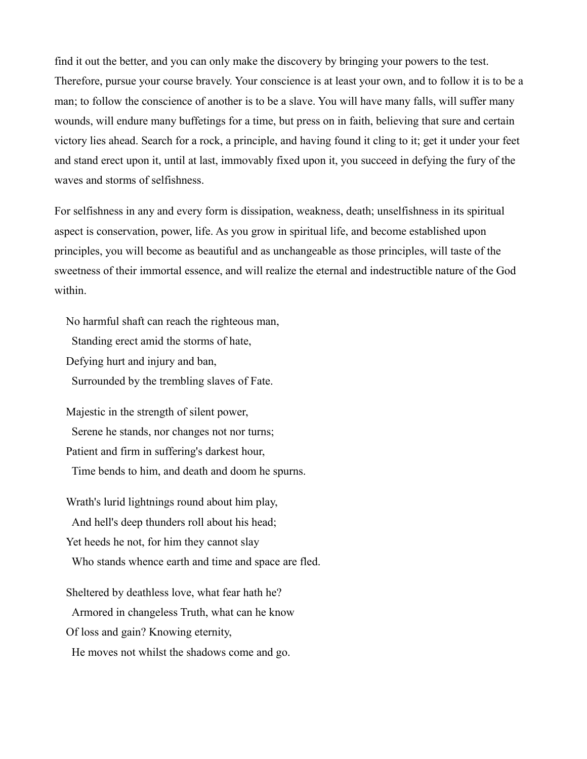find it out the better, and you can only make the discovery by bringing your powers to the test. Therefore, pursue your course bravely. Your conscience is at least your own, and to follow it is to be a man; to follow the conscience of another is to be a slave. You will have many falls, will suffer many wounds, will endure many buffetings for a time, but press on in faith, believing that sure and certain victory lies ahead. Search for a rock, a principle, and having found it cling to it; get it under your feet and stand erect upon it, until at last, immovably fixed upon it, you succeed in defying the fury of the waves and storms of selfishness.

For selfishness in any and every form is dissipation, weakness, death; unselfishness in its spiritual aspect is conservation, power, life. As you grow in spiritual life, and become established upon principles, you will become as beautiful and as unchangeable as those principles, will taste of the sweetness of their immortal essence, and will realize the eternal and indestructible nature of the God within.

No harmful shaft can reach the righteous man,

Standing erect amid the storms of hate,

Defying hurt and injury and ban,

Surrounded by the trembling slaves of Fate.

Majestic in the strength of silent power, Serene he stands, nor changes not nor turns; Patient and firm in suffering's darkest hour,

Time bends to him, and death and doom he spurns.

Wrath's lurid lightnings round about him play,

And hell's deep thunders roll about his head;

Yet heeds he not, for him they cannot slay

Who stands whence earth and time and space are fled.

Sheltered by deathless love, what fear hath he?

Armored in changeless Truth, what can he know

Of loss and gain? Knowing eternity,

He moves not whilst the shadows come and go.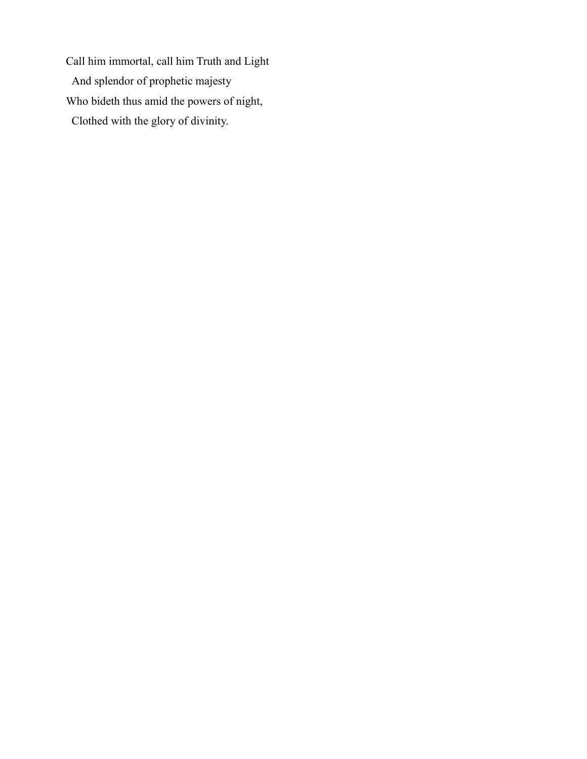Call him immortal, call him Truth and Light And splendor of prophetic majesty Who bideth thus amid the powers of night, Clothed with the glory of divinity.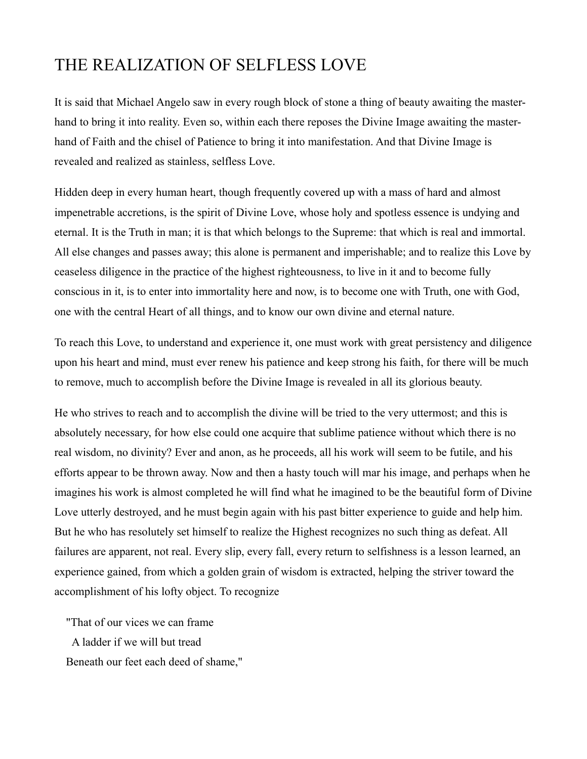#### THE REALIZATION OF SELFLESS LOVE

It is said that Michael Angelo saw in every rough block of stone a thing of beauty awaiting the masterhand to bring it into reality. Even so, within each there reposes the Divine Image awaiting the masterhand of Faith and the chisel of Patience to bring it into manifestation. And that Divine Image is revealed and realized as stainless, selfless Love.

Hidden deep in every human heart, though frequently covered up with a mass of hard and almost impenetrable accretions, is the spirit of Divine Love, whose holy and spotless essence is undying and eternal. It is the Truth in man; it is that which belongs to the Supreme: that which is real and immortal. All else changes and passes away; this alone is permanent and imperishable; and to realize this Love by ceaseless diligence in the practice of the highest righteousness, to live in it and to become fully conscious in it, is to enter into immortality here and now, is to become one with Truth, one with God, one with the central Heart of all things, and to know our own divine and eternal nature.

To reach this Love, to understand and experience it, one must work with great persistency and diligence upon his heart and mind, must ever renew his patience and keep strong his faith, for there will be much to remove, much to accomplish before the Divine Image is revealed in all its glorious beauty.

He who strives to reach and to accomplish the divine will be tried to the very uttermost; and this is absolutely necessary, for how else could one acquire that sublime patience without which there is no real wisdom, no divinity? Ever and anon, as he proceeds, all his work will seem to be futile, and his efforts appear to be thrown away. Now and then a hasty touch will mar his image, and perhaps when he imagines his work is almost completed he will find what he imagined to be the beautiful form of Divine Love utterly destroyed, and he must begin again with his past bitter experience to guide and help him. But he who has resolutely set himself to realize the Highest recognizes no such thing as defeat. All failures are apparent, not real. Every slip, every fall, every return to selfishness is a lesson learned, an experience gained, from which a golden grain of wisdom is extracted, helping the striver toward the accomplishment of his lofty object. To recognize

"That of our vices we can frame A ladder if we will but tread Beneath our feet each deed of shame,"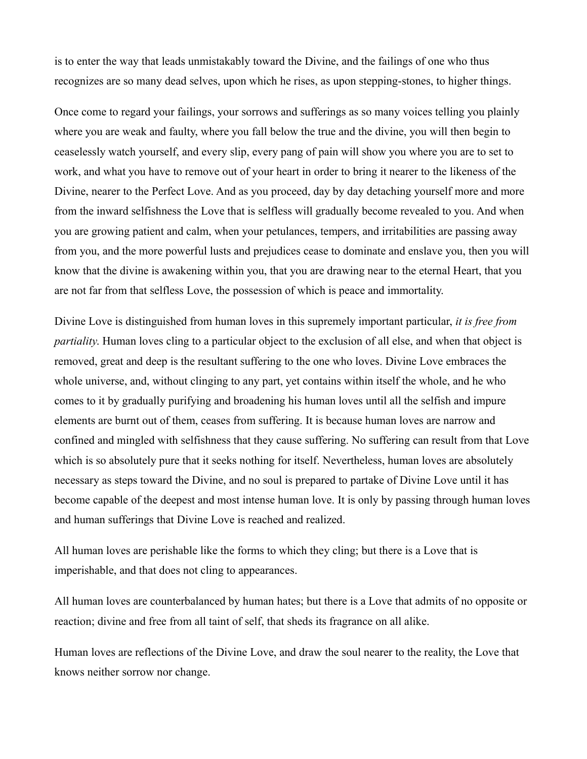is to enter the way that leads unmistakably toward the Divine, and the failings of one who thus recognizes are so many dead selves, upon which he rises, as upon stepping-stones, to higher things.

Once come to regard your failings, your sorrows and sufferings as so many voices telling you plainly where you are weak and faulty, where you fall below the true and the divine, you will then begin to ceaselessly watch yourself, and every slip, every pang of pain will show you where you are to set to work, and what you have to remove out of your heart in order to bring it nearer to the likeness of the Divine, nearer to the Perfect Love. And as you proceed, day by day detaching yourself more and more from the inward selfishness the Love that is selfless will gradually become revealed to you. And when you are growing patient and calm, when your petulances, tempers, and irritabilities are passing away from you, and the more powerful lusts and prejudices cease to dominate and enslave you, then you will know that the divine is awakening within you, that you are drawing near to the eternal Heart, that you are not far from that selfless Love, the possession of which is peace and immortality.

Divine Love is distinguished from human loves in this supremely important particular, *it is free from partiality*. Human loves cling to a particular object to the exclusion of all else, and when that object is removed, great and deep is the resultant suffering to the one who loves. Divine Love embraces the whole universe, and, without clinging to any part, yet contains within itself the whole, and he who comes to it by gradually purifying and broadening his human loves until all the selfish and impure elements are burnt out of them, ceases from suffering. It is because human loves are narrow and confined and mingled with selfishness that they cause suffering. No suffering can result from that Love which is so absolutely pure that it seeks nothing for itself. Nevertheless, human loves are absolutely necessary as steps toward the Divine, and no soul is prepared to partake of Divine Love until it has become capable of the deepest and most intense human love. It is only by passing through human loves and human sufferings that Divine Love is reached and realized.

All human loves are perishable like the forms to which they cling; but there is a Love that is imperishable, and that does not cling to appearances.

All human loves are counterbalanced by human hates; but there is a Love that admits of no opposite or reaction; divine and free from all taint of self, that sheds its fragrance on all alike.

Human loves are reflections of the Divine Love, and draw the soul nearer to the reality, the Love that knows neither sorrow nor change.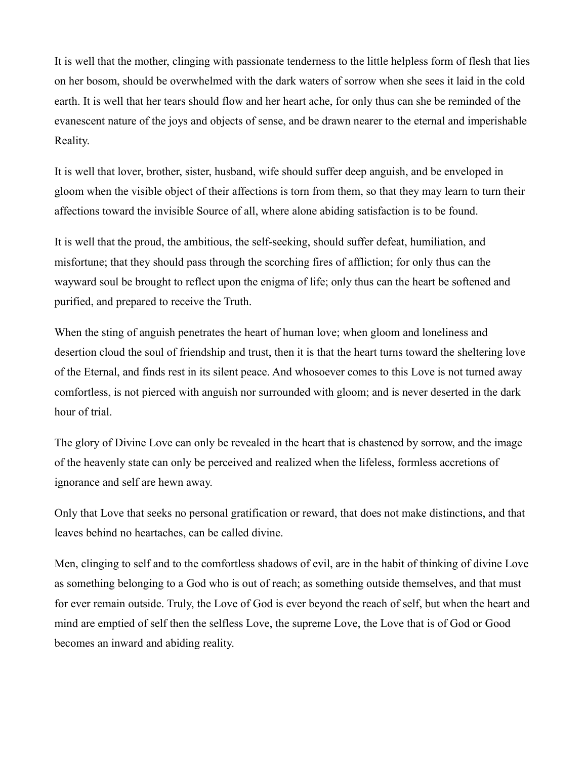It is well that the mother, clinging with passionate tenderness to the little helpless form of flesh that lies on her bosom, should be overwhelmed with the dark waters of sorrow when she sees it laid in the cold earth. It is well that her tears should flow and her heart ache, for only thus can she be reminded of the evanescent nature of the joys and objects of sense, and be drawn nearer to the eternal and imperishable Reality.

It is well that lover, brother, sister, husband, wife should suffer deep anguish, and be enveloped in gloom when the visible object of their affections is torn from them, so that they may learn to turn their affections toward the invisible Source of all, where alone abiding satisfaction is to be found.

It is well that the proud, the ambitious, the self-seeking, should suffer defeat, humiliation, and misfortune; that they should pass through the scorching fires of affliction; for only thus can the wayward soul be brought to reflect upon the enigma of life; only thus can the heart be softened and purified, and prepared to receive the Truth.

When the sting of anguish penetrates the heart of human love; when gloom and loneliness and desertion cloud the soul of friendship and trust, then it is that the heart turns toward the sheltering love of the Eternal, and finds rest in its silent peace. And whosoever comes to this Love is not turned away comfortless, is not pierced with anguish nor surrounded with gloom; and is never deserted in the dark hour of trial.

The glory of Divine Love can only be revealed in the heart that is chastened by sorrow, and the image of the heavenly state can only be perceived and realized when the lifeless, formless accretions of ignorance and self are hewn away.

Only that Love that seeks no personal gratification or reward, that does not make distinctions, and that leaves behind no heartaches, can be called divine.

Men, clinging to self and to the comfortless shadows of evil, are in the habit of thinking of divine Love as something belonging to a God who is out of reach; as something outside themselves, and that must for ever remain outside. Truly, the Love of God is ever beyond the reach of self, but when the heart and mind are emptied of self then the selfless Love, the supreme Love, the Love that is of God or Good becomes an inward and abiding reality.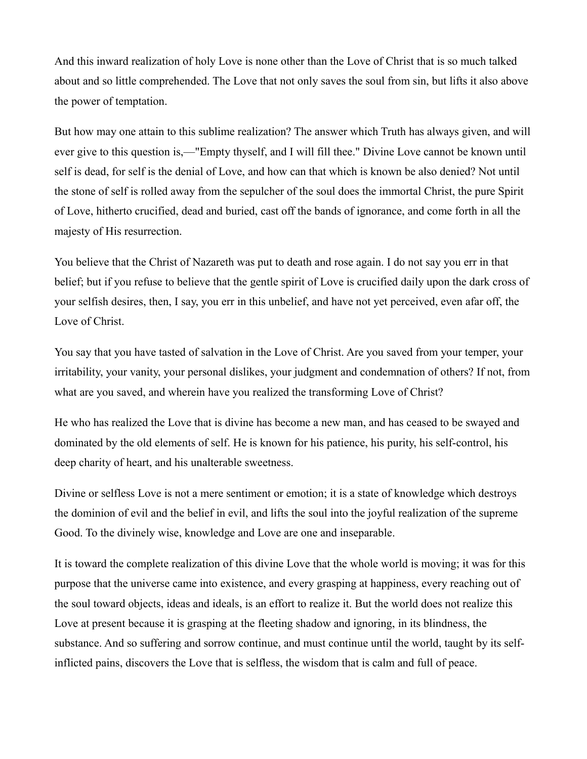And this inward realization of holy Love is none other than the Love of Christ that is so much talked about and so little comprehended. The Love that not only saves the soul from sin, but lifts it also above the power of temptation.

But how may one attain to this sublime realization? The answer which Truth has always given, and will ever give to this question is,—"Empty thyself, and I will fill thee." Divine Love cannot be known until self is dead, for self is the denial of Love, and how can that which is known be also denied? Not until the stone of self is rolled away from the sepulcher of the soul does the immortal Christ, the pure Spirit of Love, hitherto crucified, dead and buried, cast off the bands of ignorance, and come forth in all the majesty of His resurrection.

You believe that the Christ of Nazareth was put to death and rose again. I do not say you err in that belief; but if you refuse to believe that the gentle spirit of Love is crucified daily upon the dark cross of your selfish desires, then, I say, you err in this unbelief, and have not yet perceived, even afar off, the Love of Christ.

You say that you have tasted of salvation in the Love of Christ. Are you saved from your temper, your irritability, your vanity, your personal dislikes, your judgment and condemnation of others? If not, from what are you saved, and wherein have you realized the transforming Love of Christ?

He who has realized the Love that is divine has become a new man, and has ceased to be swayed and dominated by the old elements of self. He is known for his patience, his purity, his self-control, his deep charity of heart, and his unalterable sweetness.

Divine or selfless Love is not a mere sentiment or emotion; it is a state of knowledge which destroys the dominion of evil and the belief in evil, and lifts the soul into the joyful realization of the supreme Good. To the divinely wise, knowledge and Love are one and inseparable.

It is toward the complete realization of this divine Love that the whole world is moving; it was for this purpose that the universe came into existence, and every grasping at happiness, every reaching out of the soul toward objects, ideas and ideals, is an effort to realize it. But the world does not realize this Love at present because it is grasping at the fleeting shadow and ignoring, in its blindness, the substance. And so suffering and sorrow continue, and must continue until the world, taught by its selfinflicted pains, discovers the Love that is selfless, the wisdom that is calm and full of peace.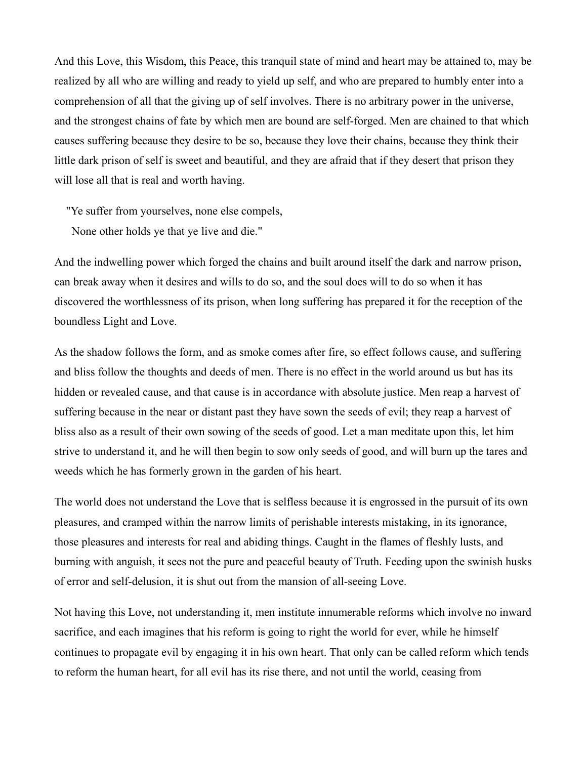And this Love, this Wisdom, this Peace, this tranquil state of mind and heart may be attained to, may be realized by all who are willing and ready to yield up self, and who are prepared to humbly enter into a comprehension of all that the giving up of self involves. There is no arbitrary power in the universe, and the strongest chains of fate by which men are bound are self-forged. Men are chained to that which causes suffering because they desire to be so, because they love their chains, because they think their little dark prison of self is sweet and beautiful, and they are afraid that if they desert that prison they will lose all that is real and worth having.

"Ye suffer from yourselves, none else compels,

None other holds ye that ye live and die."

And the indwelling power which forged the chains and built around itself the dark and narrow prison, can break away when it desires and wills to do so, and the soul does will to do so when it has discovered the worthlessness of its prison, when long suffering has prepared it for the reception of the boundless Light and Love.

As the shadow follows the form, and as smoke comes after fire, so effect follows cause, and suffering and bliss follow the thoughts and deeds of men. There is no effect in the world around us but has its hidden or revealed cause, and that cause is in accordance with absolute justice. Men reap a harvest of suffering because in the near or distant past they have sown the seeds of evil; they reap a harvest of bliss also as a result of their own sowing of the seeds of good. Let a man meditate upon this, let him strive to understand it, and he will then begin to sow only seeds of good, and will burn up the tares and weeds which he has formerly grown in the garden of his heart.

The world does not understand the Love that is selfless because it is engrossed in the pursuit of its own pleasures, and cramped within the narrow limits of perishable interests mistaking, in its ignorance, those pleasures and interests for real and abiding things. Caught in the flames of fleshly lusts, and burning with anguish, it sees not the pure and peaceful beauty of Truth. Feeding upon the swinish husks of error and self-delusion, it is shut out from the mansion of all-seeing Love.

Not having this Love, not understanding it, men institute innumerable reforms which involve no inward sacrifice, and each imagines that his reform is going to right the world for ever, while he himself continues to propagate evil by engaging it in his own heart. That only can be called reform which tends to reform the human heart, for all evil has its rise there, and not until the world, ceasing from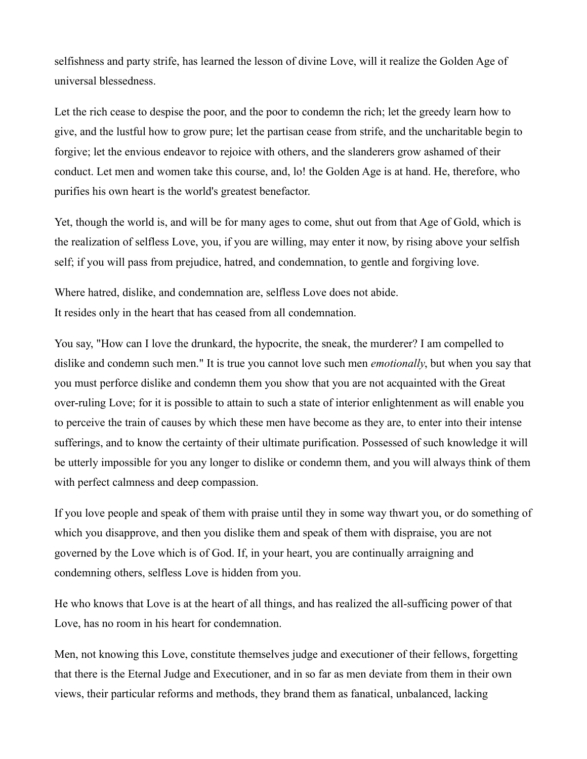selfishness and party strife, has learned the lesson of divine Love, will it realize the Golden Age of universal blessedness.

Let the rich cease to despise the poor, and the poor to condemn the rich; let the greedy learn how to give, and the lustful how to grow pure; let the partisan cease from strife, and the uncharitable begin to forgive; let the envious endeavor to rejoice with others, and the slanderers grow ashamed of their conduct. Let men and women take this course, and, lo! the Golden Age is at hand. He, therefore, who purifies his own heart is the world's greatest benefactor.

Yet, though the world is, and will be for many ages to come, shut out from that Age of Gold, which is the realization of selfless Love, you, if you are willing, may enter it now, by rising above your selfish self; if you will pass from prejudice, hatred, and condemnation, to gentle and forgiving love.

Where hatred, dislike, and condemnation are, selfless Love does not abide. It resides only in the heart that has ceased from all condemnation.

You say, "How can I love the drunkard, the hypocrite, the sneak, the murderer? I am compelled to dislike and condemn such men." It is true you cannot love such men *emotionally*, but when you say that you must perforce dislike and condemn them you show that you are not acquainted with the Great over-ruling Love; for it is possible to attain to such a state of interior enlightenment as will enable you to perceive the train of causes by which these men have become as they are, to enter into their intense sufferings, and to know the certainty of their ultimate purification. Possessed of such knowledge it will be utterly impossible for you any longer to dislike or condemn them, and you will always think of them with perfect calmness and deep compassion.

If you love people and speak of them with praise until they in some way thwart you, or do something of which you disapprove, and then you dislike them and speak of them with dispraise, you are not governed by the Love which is of God. If, in your heart, you are continually arraigning and condemning others, selfless Love is hidden from you.

He who knows that Love is at the heart of all things, and has realized the all-sufficing power of that Love, has no room in his heart for condemnation.

Men, not knowing this Love, constitute themselves judge and executioner of their fellows, forgetting that there is the Eternal Judge and Executioner, and in so far as men deviate from them in their own views, their particular reforms and methods, they brand them as fanatical, unbalanced, lacking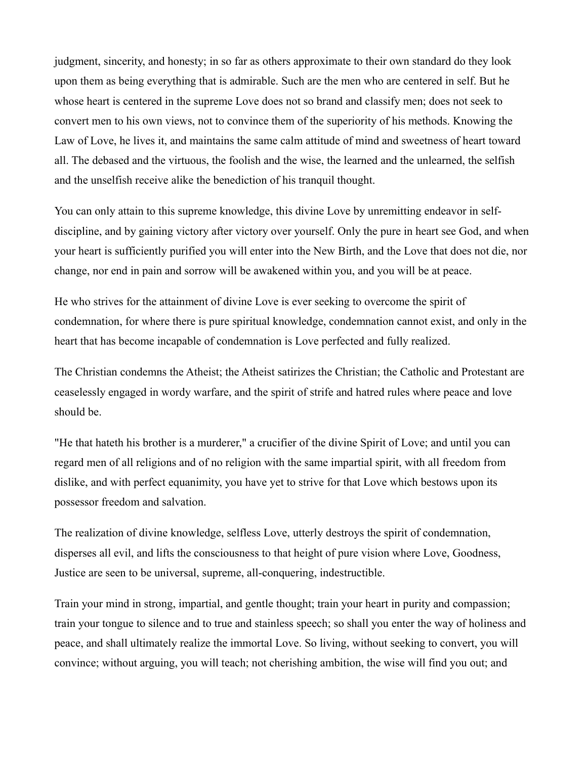judgment, sincerity, and honesty; in so far as others approximate to their own standard do they look upon them as being everything that is admirable. Such are the men who are centered in self. But he whose heart is centered in the supreme Love does not so brand and classify men; does not seek to convert men to his own views, not to convince them of the superiority of his methods. Knowing the Law of Love, he lives it, and maintains the same calm attitude of mind and sweetness of heart toward all. The debased and the virtuous, the foolish and the wise, the learned and the unlearned, the selfish and the unselfish receive alike the benediction of his tranquil thought.

You can only attain to this supreme knowledge, this divine Love by unremitting endeavor in selfdiscipline, and by gaining victory after victory over yourself. Only the pure in heart see God, and when your heart is sufficiently purified you will enter into the New Birth, and the Love that does not die, nor change, nor end in pain and sorrow will be awakened within you, and you will be at peace.

He who strives for the attainment of divine Love is ever seeking to overcome the spirit of condemnation, for where there is pure spiritual knowledge, condemnation cannot exist, and only in the heart that has become incapable of condemnation is Love perfected and fully realized.

The Christian condemns the Atheist; the Atheist satirizes the Christian; the Catholic and Protestant are ceaselessly engaged in wordy warfare, and the spirit of strife and hatred rules where peace and love should be.

"He that hateth his brother is a murderer," a crucifier of the divine Spirit of Love; and until you can regard men of all religions and of no religion with the same impartial spirit, with all freedom from dislike, and with perfect equanimity, you have yet to strive for that Love which bestows upon its possessor freedom and salvation.

The realization of divine knowledge, selfless Love, utterly destroys the spirit of condemnation, disperses all evil, and lifts the consciousness to that height of pure vision where Love, Goodness, Justice are seen to be universal, supreme, all-conquering, indestructible.

Train your mind in strong, impartial, and gentle thought; train your heart in purity and compassion; train your tongue to silence and to true and stainless speech; so shall you enter the way of holiness and peace, and shall ultimately realize the immortal Love. So living, without seeking to convert, you will convince; without arguing, you will teach; not cherishing ambition, the wise will find you out; and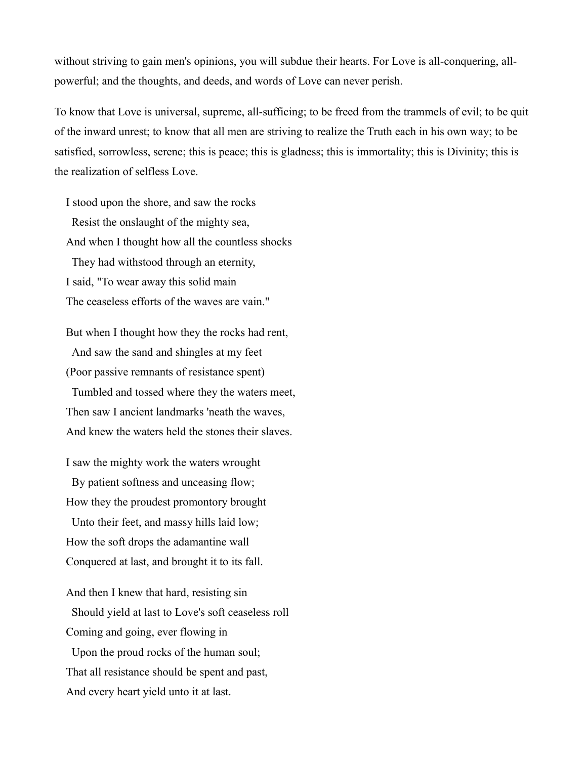without striving to gain men's opinions, you will subdue their hearts. For Love is all-conquering, allpowerful; and the thoughts, and deeds, and words of Love can never perish.

To know that Love is universal, supreme, all-sufficing; to be freed from the trammels of evil; to be quit of the inward unrest; to know that all men are striving to realize the Truth each in his own way; to be satisfied, sorrowless, serene; this is peace; this is gladness; this is immortality; this is Divinity; this is the realization of selfless Love.

I stood upon the shore, and saw the rocks Resist the onslaught of the mighty sea, And when I thought how all the countless shocks They had withstood through an eternity, I said, "To wear away this solid main The ceaseless efforts of the waves are vain."

But when I thought how they the rocks had rent, And saw the sand and shingles at my feet (Poor passive remnants of resistance spent) Tumbled and tossed where they the waters meet, Then saw I ancient landmarks 'neath the waves, And knew the waters held the stones their slaves.

I saw the mighty work the waters wrought By patient softness and unceasing flow; How they the proudest promontory brought Unto their feet, and massy hills laid low; How the soft drops the adamantine wall Conquered at last, and brought it to its fall.

And then I knew that hard, resisting sin Should yield at last to Love's soft ceaseless roll Coming and going, ever flowing in Upon the proud rocks of the human soul; That all resistance should be spent and past, And every heart yield unto it at last.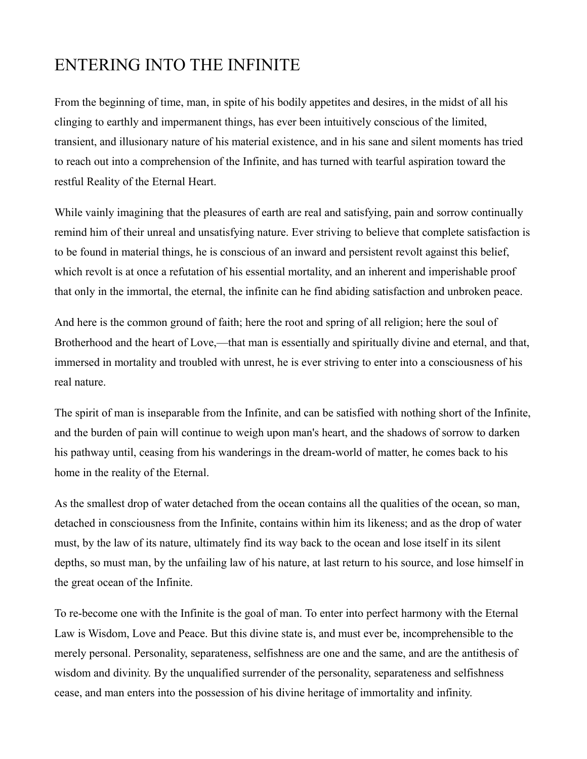#### ENTERING INTO THE INFINITE

From the beginning of time, man, in spite of his bodily appetites and desires, in the midst of all his clinging to earthly and impermanent things, has ever been intuitively conscious of the limited, transient, and illusionary nature of his material existence, and in his sane and silent moments has tried to reach out into a comprehension of the Infinite, and has turned with tearful aspiration toward the restful Reality of the Eternal Heart.

While vainly imagining that the pleasures of earth are real and satisfying, pain and sorrow continually remind him of their unreal and unsatisfying nature. Ever striving to believe that complete satisfaction is to be found in material things, he is conscious of an inward and persistent revolt against this belief, which revolt is at once a refutation of his essential mortality, and an inherent and imperishable proof that only in the immortal, the eternal, the infinite can he find abiding satisfaction and unbroken peace.

And here is the common ground of faith; here the root and spring of all religion; here the soul of Brotherhood and the heart of Love,—that man is essentially and spiritually divine and eternal, and that, immersed in mortality and troubled with unrest, he is ever striving to enter into a consciousness of his real nature.

The spirit of man is inseparable from the Infinite, and can be satisfied with nothing short of the Infinite, and the burden of pain will continue to weigh upon man's heart, and the shadows of sorrow to darken his pathway until, ceasing from his wanderings in the dream-world of matter, he comes back to his home in the reality of the Eternal.

As the smallest drop of water detached from the ocean contains all the qualities of the ocean, so man, detached in consciousness from the Infinite, contains within him its likeness; and as the drop of water must, by the law of its nature, ultimately find its way back to the ocean and lose itself in its silent depths, so must man, by the unfailing law of his nature, at last return to his source, and lose himself in the great ocean of the Infinite.

To re-become one with the Infinite is the goal of man. To enter into perfect harmony with the Eternal Law is Wisdom, Love and Peace. But this divine state is, and must ever be, incomprehensible to the merely personal. Personality, separateness, selfishness are one and the same, and are the antithesis of wisdom and divinity. By the unqualified surrender of the personality, separateness and selfishness cease, and man enters into the possession of his divine heritage of immortality and infinity.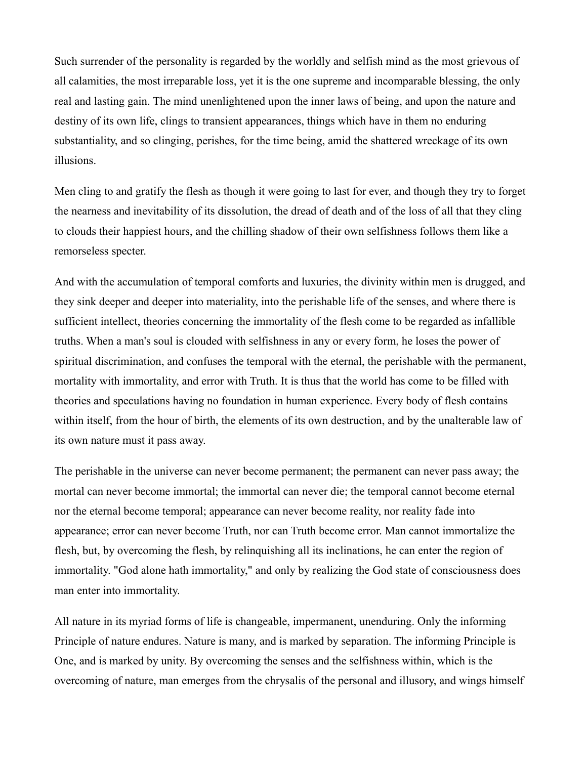Such surrender of the personality is regarded by the worldly and selfish mind as the most grievous of all calamities, the most irreparable loss, yet it is the one supreme and incomparable blessing, the only real and lasting gain. The mind unenlightened upon the inner laws of being, and upon the nature and destiny of its own life, clings to transient appearances, things which have in them no enduring substantiality, and so clinging, perishes, for the time being, amid the shattered wreckage of its own illusions.

Men cling to and gratify the flesh as though it were going to last for ever, and though they try to forget the nearness and inevitability of its dissolution, the dread of death and of the loss of all that they cling to clouds their happiest hours, and the chilling shadow of their own selfishness follows them like a remorseless specter.

And with the accumulation of temporal comforts and luxuries, the divinity within men is drugged, and they sink deeper and deeper into materiality, into the perishable life of the senses, and where there is sufficient intellect, theories concerning the immortality of the flesh come to be regarded as infallible truths. When a man's soul is clouded with selfishness in any or every form, he loses the power of spiritual discrimination, and confuses the temporal with the eternal, the perishable with the permanent, mortality with immortality, and error with Truth. It is thus that the world has come to be filled with theories and speculations having no foundation in human experience. Every body of flesh contains within itself, from the hour of birth, the elements of its own destruction, and by the unalterable law of its own nature must it pass away.

The perishable in the universe can never become permanent; the permanent can never pass away; the mortal can never become immortal; the immortal can never die; the temporal cannot become eternal nor the eternal become temporal; appearance can never become reality, nor reality fade into appearance; error can never become Truth, nor can Truth become error. Man cannot immortalize the flesh, but, by overcoming the flesh, by relinquishing all its inclinations, he can enter the region of immortality. "God alone hath immortality," and only by realizing the God state of consciousness does man enter into immortality.

All nature in its myriad forms of life is changeable, impermanent, unenduring. Only the informing Principle of nature endures. Nature is many, and is marked by separation. The informing Principle is One, and is marked by unity. By overcoming the senses and the selfishness within, which is the overcoming of nature, man emerges from the chrysalis of the personal and illusory, and wings himself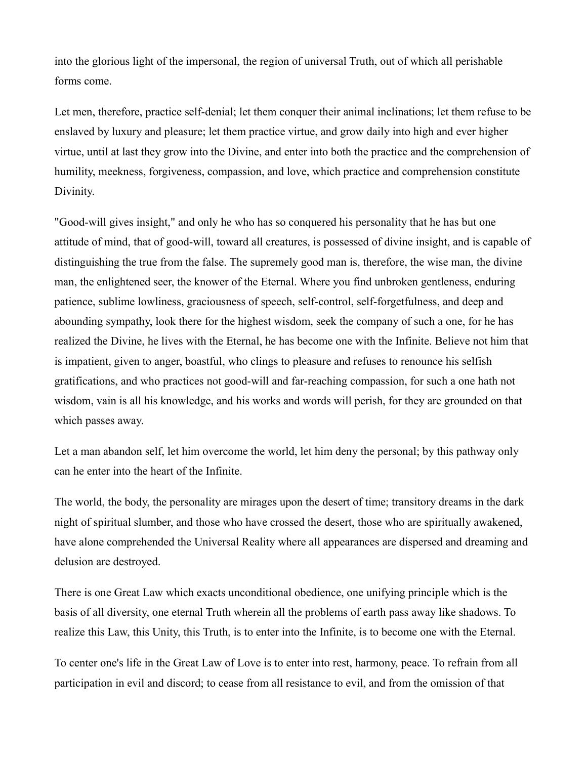into the glorious light of the impersonal, the region of universal Truth, out of which all perishable forms come.

Let men, therefore, practice self-denial; let them conquer their animal inclinations; let them refuse to be enslaved by luxury and pleasure; let them practice virtue, and grow daily into high and ever higher virtue, until at last they grow into the Divine, and enter into both the practice and the comprehension of humility, meekness, forgiveness, compassion, and love, which practice and comprehension constitute Divinity.

"Good-will gives insight," and only he who has so conquered his personality that he has but one attitude of mind, that of good-will, toward all creatures, is possessed of divine insight, and is capable of distinguishing the true from the false. The supremely good man is, therefore, the wise man, the divine man, the enlightened seer, the knower of the Eternal. Where you find unbroken gentleness, enduring patience, sublime lowliness, graciousness of speech, self-control, self-forgetfulness, and deep and abounding sympathy, look there for the highest wisdom, seek the company of such a one, for he has realized the Divine, he lives with the Eternal, he has become one with the Infinite. Believe not him that is impatient, given to anger, boastful, who clings to pleasure and refuses to renounce his selfish gratifications, and who practices not good-will and far-reaching compassion, for such a one hath not wisdom, vain is all his knowledge, and his works and words will perish, for they are grounded on that which passes away.

Let a man abandon self, let him overcome the world, let him deny the personal; by this pathway only can he enter into the heart of the Infinite.

The world, the body, the personality are mirages upon the desert of time; transitory dreams in the dark night of spiritual slumber, and those who have crossed the desert, those who are spiritually awakened, have alone comprehended the Universal Reality where all appearances are dispersed and dreaming and delusion are destroyed.

There is one Great Law which exacts unconditional obedience, one unifying principle which is the basis of all diversity, one eternal Truth wherein all the problems of earth pass away like shadows. To realize this Law, this Unity, this Truth, is to enter into the Infinite, is to become one with the Eternal.

To center one's life in the Great Law of Love is to enter into rest, harmony, peace. To refrain from all participation in evil and discord; to cease from all resistance to evil, and from the omission of that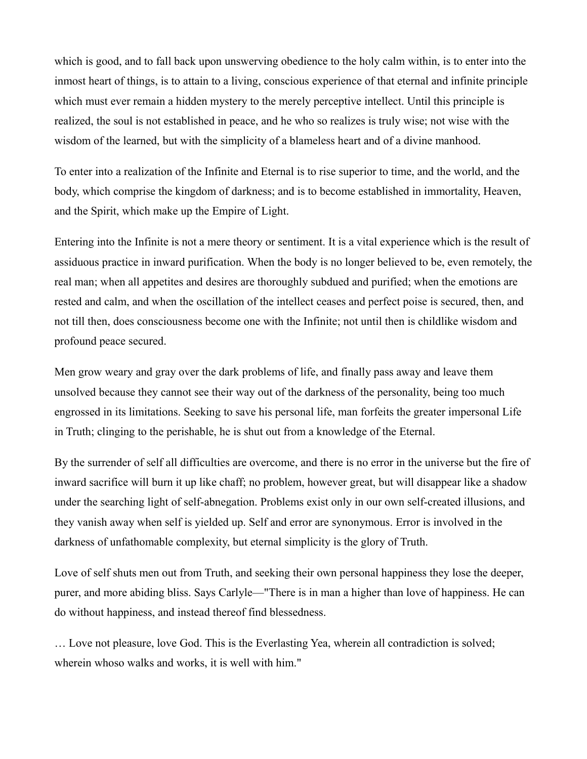which is good, and to fall back upon unswerving obedience to the holy calm within, is to enter into the inmost heart of things, is to attain to a living, conscious experience of that eternal and infinite principle which must ever remain a hidden mystery to the merely perceptive intellect. Until this principle is realized, the soul is not established in peace, and he who so realizes is truly wise; not wise with the wisdom of the learned, but with the simplicity of a blameless heart and of a divine manhood.

To enter into a realization of the Infinite and Eternal is to rise superior to time, and the world, and the body, which comprise the kingdom of darkness; and is to become established in immortality, Heaven, and the Spirit, which make up the Empire of Light.

Entering into the Infinite is not a mere theory or sentiment. It is a vital experience which is the result of assiduous practice in inward purification. When the body is no longer believed to be, even remotely, the real man; when all appetites and desires are thoroughly subdued and purified; when the emotions are rested and calm, and when the oscillation of the intellect ceases and perfect poise is secured, then, and not till then, does consciousness become one with the Infinite; not until then is childlike wisdom and profound peace secured.

Men grow weary and gray over the dark problems of life, and finally pass away and leave them unsolved because they cannot see their way out of the darkness of the personality, being too much engrossed in its limitations. Seeking to save his personal life, man forfeits the greater impersonal Life in Truth; clinging to the perishable, he is shut out from a knowledge of the Eternal.

By the surrender of self all difficulties are overcome, and there is no error in the universe but the fire of inward sacrifice will burn it up like chaff; no problem, however great, but will disappear like a shadow under the searching light of self-abnegation. Problems exist only in our own self-created illusions, and they vanish away when self is yielded up. Self and error are synonymous. Error is involved in the darkness of unfathomable complexity, but eternal simplicity is the glory of Truth.

Love of self shuts men out from Truth, and seeking their own personal happiness they lose the deeper, purer, and more abiding bliss. Says Carlyle—"There is in man a higher than love of happiness. He can do without happiness, and instead thereof find blessedness.

… Love not pleasure, love God. This is the Everlasting Yea, wherein all contradiction is solved; wherein whoso walks and works, it is well with him."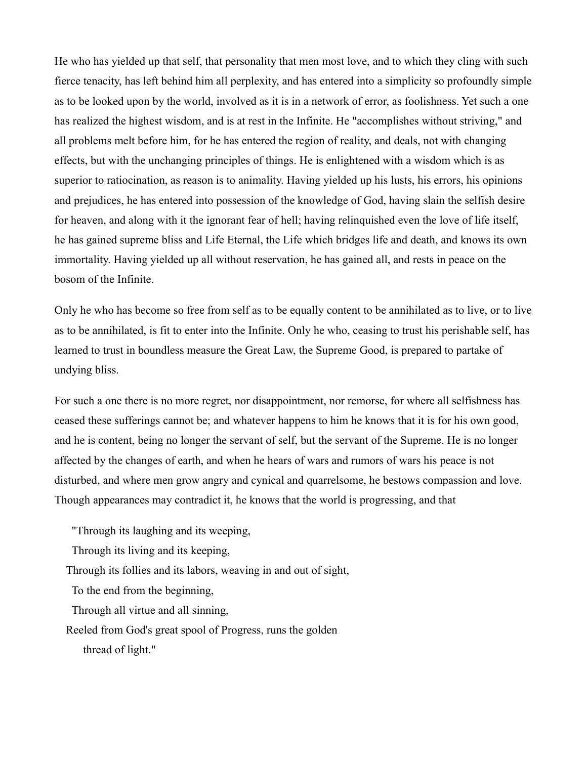He who has yielded up that self, that personality that men most love, and to which they cling with such fierce tenacity, has left behind him all perplexity, and has entered into a simplicity so profoundly simple as to be looked upon by the world, involved as it is in a network of error, as foolishness. Yet such a one has realized the highest wisdom, and is at rest in the Infinite. He "accomplishes without striving," and all problems melt before him, for he has entered the region of reality, and deals, not with changing effects, but with the unchanging principles of things. He is enlightened with a wisdom which is as superior to ratiocination, as reason is to animality. Having yielded up his lusts, his errors, his opinions and prejudices, he has entered into possession of the knowledge of God, having slain the selfish desire for heaven, and along with it the ignorant fear of hell; having relinquished even the love of life itself, he has gained supreme bliss and Life Eternal, the Life which bridges life and death, and knows its own immortality. Having yielded up all without reservation, he has gained all, and rests in peace on the bosom of the Infinite.

Only he who has become so free from self as to be equally content to be annihilated as to live, or to live as to be annihilated, is fit to enter into the Infinite. Only he who, ceasing to trust his perishable self, has learned to trust in boundless measure the Great Law, the Supreme Good, is prepared to partake of undying bliss.

For such a one there is no more regret, nor disappointment, nor remorse, for where all selfishness has ceased these sufferings cannot be; and whatever happens to him he knows that it is for his own good, and he is content, being no longer the servant of self, but the servant of the Supreme. He is no longer affected by the changes of earth, and when he hears of wars and rumors of wars his peace is not disturbed, and where men grow angry and cynical and quarrelsome, he bestows compassion and love. Though appearances may contradict it, he knows that the world is progressing, and that

"Through its laughing and its weeping,

Through its living and its keeping,

Through its follies and its labors, weaving in and out of sight,

To the end from the beginning,

Through all virtue and all sinning,

Reeled from God's great spool of Progress, runs the golden thread of light."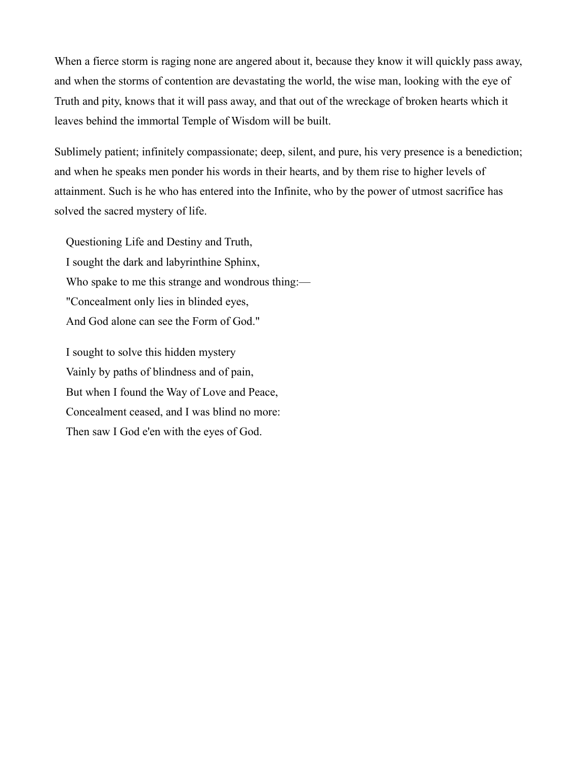When a fierce storm is raging none are angered about it, because they know it will quickly pass away, and when the storms of contention are devastating the world, the wise man, looking with the eye of Truth and pity, knows that it will pass away, and that out of the wreckage of broken hearts which it leaves behind the immortal Temple of Wisdom will be built.

Sublimely patient; infinitely compassionate; deep, silent, and pure, his very presence is a benediction; and when he speaks men ponder his words in their hearts, and by them rise to higher levels of attainment. Such is he who has entered into the Infinite, who by the power of utmost sacrifice has solved the sacred mystery of life.

Questioning Life and Destiny and Truth, I sought the dark and labyrinthine Sphinx, Who spake to me this strange and wondrous thing:— "Concealment only lies in blinded eyes, And God alone can see the Form of God."

I sought to solve this hidden mystery Vainly by paths of blindness and of pain, But when I found the Way of Love and Peace, Concealment ceased, and I was blind no more: Then saw I God e'en with the eyes of God.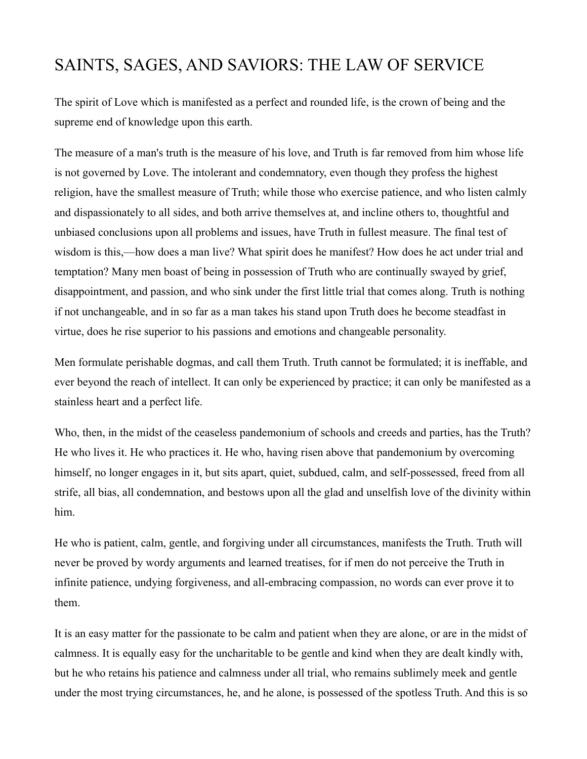### SAINTS, SAGES, AND SAVIORS: THE LAW OF SERVICE

The spirit of Love which is manifested as a perfect and rounded life, is the crown of being and the supreme end of knowledge upon this earth.

The measure of a man's truth is the measure of his love, and Truth is far removed from him whose life is not governed by Love. The intolerant and condemnatory, even though they profess the highest religion, have the smallest measure of Truth; while those who exercise patience, and who listen calmly and dispassionately to all sides, and both arrive themselves at, and incline others to, thoughtful and unbiased conclusions upon all problems and issues, have Truth in fullest measure. The final test of wisdom is this,—how does a man live? What spirit does he manifest? How does he act under trial and temptation? Many men boast of being in possession of Truth who are continually swayed by grief, disappointment, and passion, and who sink under the first little trial that comes along. Truth is nothing if not unchangeable, and in so far as a man takes his stand upon Truth does he become steadfast in virtue, does he rise superior to his passions and emotions and changeable personality.

Men formulate perishable dogmas, and call them Truth. Truth cannot be formulated; it is ineffable, and ever beyond the reach of intellect. It can only be experienced by practice; it can only be manifested as a stainless heart and a perfect life.

Who, then, in the midst of the ceaseless pandemonium of schools and creeds and parties, has the Truth? He who lives it. He who practices it. He who, having risen above that pandemonium by overcoming himself, no longer engages in it, but sits apart, quiet, subdued, calm, and self-possessed, freed from all strife, all bias, all condemnation, and bestows upon all the glad and unselfish love of the divinity within him.

He who is patient, calm, gentle, and forgiving under all circumstances, manifests the Truth. Truth will never be proved by wordy arguments and learned treatises, for if men do not perceive the Truth in infinite patience, undying forgiveness, and all-embracing compassion, no words can ever prove it to them.

It is an easy matter for the passionate to be calm and patient when they are alone, or are in the midst of calmness. It is equally easy for the uncharitable to be gentle and kind when they are dealt kindly with, but he who retains his patience and calmness under all trial, who remains sublimely meek and gentle under the most trying circumstances, he, and he alone, is possessed of the spotless Truth. And this is so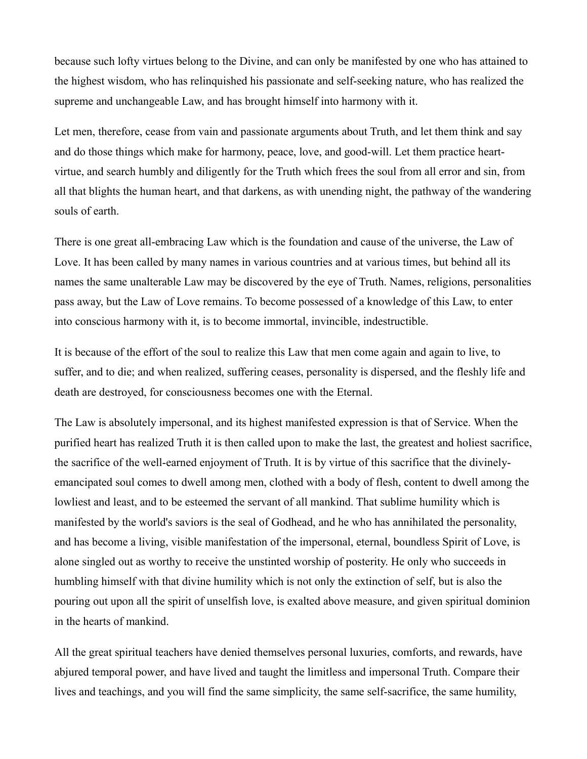because such lofty virtues belong to the Divine, and can only be manifested by one who has attained to the highest wisdom, who has relinquished his passionate and self-seeking nature, who has realized the supreme and unchangeable Law, and has brought himself into harmony with it.

Let men, therefore, cease from vain and passionate arguments about Truth, and let them think and say and do those things which make for harmony, peace, love, and good-will. Let them practice heartvirtue, and search humbly and diligently for the Truth which frees the soul from all error and sin, from all that blights the human heart, and that darkens, as with unending night, the pathway of the wandering souls of earth.

There is one great all-embracing Law which is the foundation and cause of the universe, the Law of Love. It has been called by many names in various countries and at various times, but behind all its names the same unalterable Law may be discovered by the eye of Truth. Names, religions, personalities pass away, but the Law of Love remains. To become possessed of a knowledge of this Law, to enter into conscious harmony with it, is to become immortal, invincible, indestructible.

It is because of the effort of the soul to realize this Law that men come again and again to live, to suffer, and to die; and when realized, suffering ceases, personality is dispersed, and the fleshly life and death are destroyed, for consciousness becomes one with the Eternal.

The Law is absolutely impersonal, and its highest manifested expression is that of Service. When the purified heart has realized Truth it is then called upon to make the last, the greatest and holiest sacrifice, the sacrifice of the well-earned enjoyment of Truth. It is by virtue of this sacrifice that the divinelyemancipated soul comes to dwell among men, clothed with a body of flesh, content to dwell among the lowliest and least, and to be esteemed the servant of all mankind. That sublime humility which is manifested by the world's saviors is the seal of Godhead, and he who has annihilated the personality, and has become a living, visible manifestation of the impersonal, eternal, boundless Spirit of Love, is alone singled out as worthy to receive the unstinted worship of posterity. He only who succeeds in humbling himself with that divine humility which is not only the extinction of self, but is also the pouring out upon all the spirit of unselfish love, is exalted above measure, and given spiritual dominion in the hearts of mankind.

All the great spiritual teachers have denied themselves personal luxuries, comforts, and rewards, have abjured temporal power, and have lived and taught the limitless and impersonal Truth. Compare their lives and teachings, and you will find the same simplicity, the same self-sacrifice, the same humility,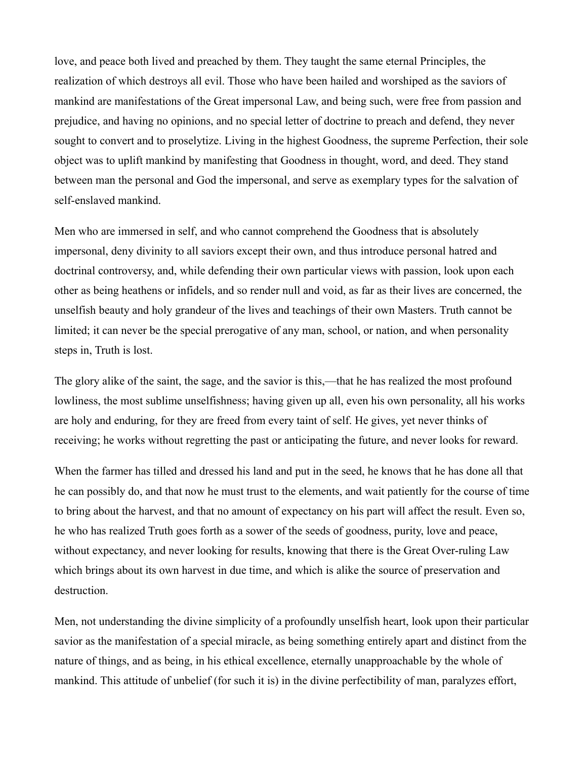love, and peace both lived and preached by them. They taught the same eternal Principles, the realization of which destroys all evil. Those who have been hailed and worshiped as the saviors of mankind are manifestations of the Great impersonal Law, and being such, were free from passion and prejudice, and having no opinions, and no special letter of doctrine to preach and defend, they never sought to convert and to proselytize. Living in the highest Goodness, the supreme Perfection, their sole object was to uplift mankind by manifesting that Goodness in thought, word, and deed. They stand between man the personal and God the impersonal, and serve as exemplary types for the salvation of self-enslaved mankind.

Men who are immersed in self, and who cannot comprehend the Goodness that is absolutely impersonal, deny divinity to all saviors except their own, and thus introduce personal hatred and doctrinal controversy, and, while defending their own particular views with passion, look upon each other as being heathens or infidels, and so render null and void, as far as their lives are concerned, the unselfish beauty and holy grandeur of the lives and teachings of their own Masters. Truth cannot be limited; it can never be the special prerogative of any man, school, or nation, and when personality steps in, Truth is lost.

The glory alike of the saint, the sage, and the savior is this,—that he has realized the most profound lowliness, the most sublime unselfishness; having given up all, even his own personality, all his works are holy and enduring, for they are freed from every taint of self. He gives, yet never thinks of receiving; he works without regretting the past or anticipating the future, and never looks for reward.

When the farmer has tilled and dressed his land and put in the seed, he knows that he has done all that he can possibly do, and that now he must trust to the elements, and wait patiently for the course of time to bring about the harvest, and that no amount of expectancy on his part will affect the result. Even so, he who has realized Truth goes forth as a sower of the seeds of goodness, purity, love and peace, without expectancy, and never looking for results, knowing that there is the Great Over-ruling Law which brings about its own harvest in due time, and which is alike the source of preservation and destruction.

Men, not understanding the divine simplicity of a profoundly unselfish heart, look upon their particular savior as the manifestation of a special miracle, as being something entirely apart and distinct from the nature of things, and as being, in his ethical excellence, eternally unapproachable by the whole of mankind. This attitude of unbelief (for such it is) in the divine perfectibility of man, paralyzes effort,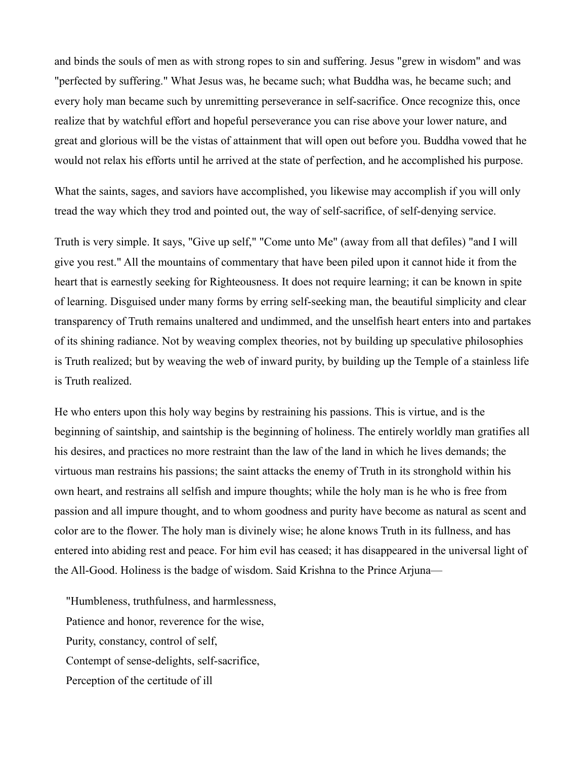and binds the souls of men as with strong ropes to sin and suffering. Jesus "grew in wisdom" and was "perfected by suffering." What Jesus was, he became such; what Buddha was, he became such; and every holy man became such by unremitting perseverance in self-sacrifice. Once recognize this, once realize that by watchful effort and hopeful perseverance you can rise above your lower nature, and great and glorious will be the vistas of attainment that will open out before you. Buddha vowed that he would not relax his efforts until he arrived at the state of perfection, and he accomplished his purpose.

What the saints, sages, and saviors have accomplished, you likewise may accomplish if you will only tread the way which they trod and pointed out, the way of self-sacrifice, of self-denying service.

Truth is very simple. It says, "Give up self," "Come unto Me" (away from all that defiles) "and I will give you rest." All the mountains of commentary that have been piled upon it cannot hide it from the heart that is earnestly seeking for Righteousness. It does not require learning; it can be known in spite of learning. Disguised under many forms by erring self-seeking man, the beautiful simplicity and clear transparency of Truth remains unaltered and undimmed, and the unselfish heart enters into and partakes of its shining radiance. Not by weaving complex theories, not by building up speculative philosophies is Truth realized; but by weaving the web of inward purity, by building up the Temple of a stainless life is Truth realized.

He who enters upon this holy way begins by restraining his passions. This is virtue, and is the beginning of saintship, and saintship is the beginning of holiness. The entirely worldly man gratifies all his desires, and practices no more restraint than the law of the land in which he lives demands; the virtuous man restrains his passions; the saint attacks the enemy of Truth in its stronghold within his own heart, and restrains all selfish and impure thoughts; while the holy man is he who is free from passion and all impure thought, and to whom goodness and purity have become as natural as scent and color are to the flower. The holy man is divinely wise; he alone knows Truth in its fullness, and has entered into abiding rest and peace. For him evil has ceased; it has disappeared in the universal light of the All-Good. Holiness is the badge of wisdom. Said Krishna to the Prince Arjuna—

"Humbleness, truthfulness, and harmlessness, Patience and honor, reverence for the wise, Purity, constancy, control of self, Contempt of sense-delights, self-sacrifice, Perception of the certitude of ill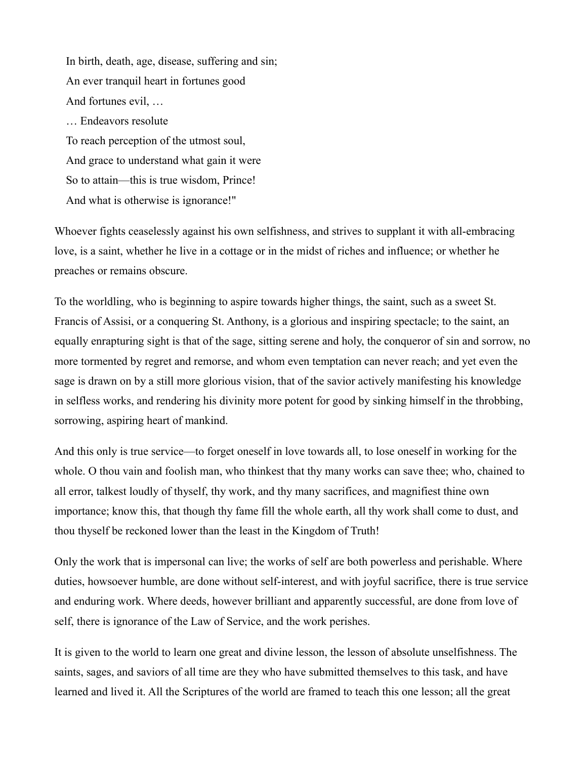In birth, death, age, disease, suffering and sin; An ever tranquil heart in fortunes good And fortunes evil, … … Endeavors resolute To reach perception of the utmost soul, And grace to understand what gain it were So to attain—this is true wisdom, Prince! And what is otherwise is ignorance!"

Whoever fights ceaselessly against his own selfishness, and strives to supplant it with all-embracing love, is a saint, whether he live in a cottage or in the midst of riches and influence; or whether he preaches or remains obscure.

To the worldling, who is beginning to aspire towards higher things, the saint, such as a sweet St. Francis of Assisi, or a conquering St. Anthony, is a glorious and inspiring spectacle; to the saint, an equally enrapturing sight is that of the sage, sitting serene and holy, the conqueror of sin and sorrow, no more tormented by regret and remorse, and whom even temptation can never reach; and yet even the sage is drawn on by a still more glorious vision, that of the savior actively manifesting his knowledge in selfless works, and rendering his divinity more potent for good by sinking himself in the throbbing, sorrowing, aspiring heart of mankind.

And this only is true service—to forget oneself in love towards all, to lose oneself in working for the whole. O thou vain and foolish man, who thinkest that thy many works can save thee; who, chained to all error, talkest loudly of thyself, thy work, and thy many sacrifices, and magnifiest thine own importance; know this, that though thy fame fill the whole earth, all thy work shall come to dust, and thou thyself be reckoned lower than the least in the Kingdom of Truth!

Only the work that is impersonal can live; the works of self are both powerless and perishable. Where duties, howsoever humble, are done without self-interest, and with joyful sacrifice, there is true service and enduring work. Where deeds, however brilliant and apparently successful, are done from love of self, there is ignorance of the Law of Service, and the work perishes.

It is given to the world to learn one great and divine lesson, the lesson of absolute unselfishness. The saints, sages, and saviors of all time are they who have submitted themselves to this task, and have learned and lived it. All the Scriptures of the world are framed to teach this one lesson; all the great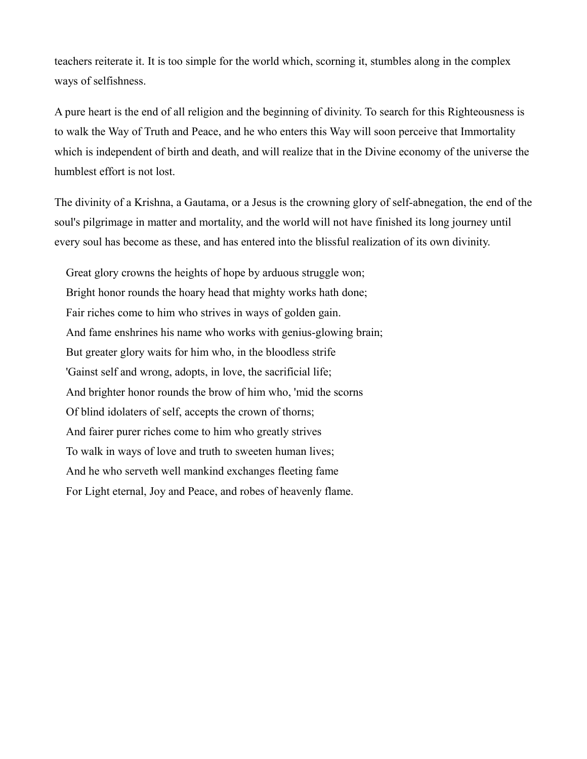teachers reiterate it. It is too simple for the world which, scorning it, stumbles along in the complex ways of selfishness.

A pure heart is the end of all religion and the beginning of divinity. To search for this Righteousness is to walk the Way of Truth and Peace, and he who enters this Way will soon perceive that Immortality which is independent of birth and death, and will realize that in the Divine economy of the universe the humblest effort is not lost.

The divinity of a Krishna, a Gautama, or a Jesus is the crowning glory of self-abnegation, the end of the soul's pilgrimage in matter and mortality, and the world will not have finished its long journey until every soul has become as these, and has entered into the blissful realization of its own divinity.

Great glory crowns the heights of hope by arduous struggle won; Bright honor rounds the hoary head that mighty works hath done; Fair riches come to him who strives in ways of golden gain. And fame enshrines his name who works with genius-glowing brain; But greater glory waits for him who, in the bloodless strife 'Gainst self and wrong, adopts, in love, the sacrificial life; And brighter honor rounds the brow of him who, 'mid the scorns Of blind idolaters of self, accepts the crown of thorns; And fairer purer riches come to him who greatly strives To walk in ways of love and truth to sweeten human lives; And he who serveth well mankind exchanges fleeting fame For Light eternal, Joy and Peace, and robes of heavenly flame.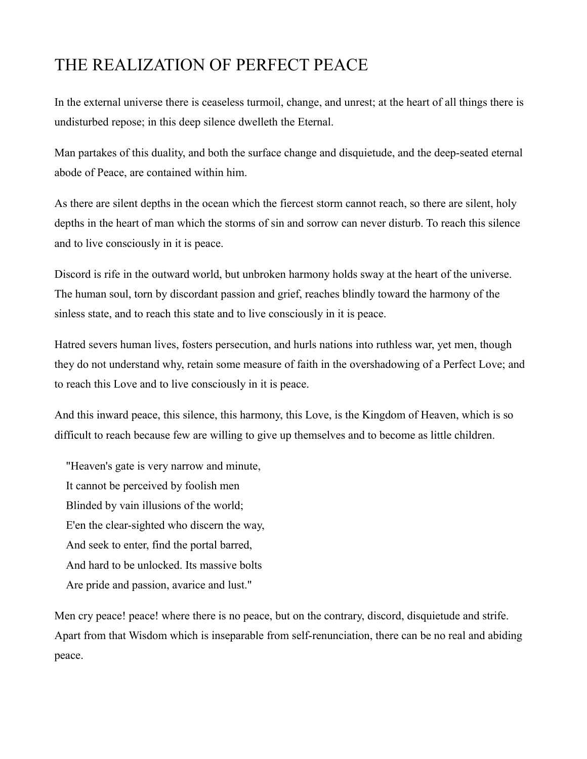## THE REALIZATION OF PERFECT PEACE

In the external universe there is ceaseless turmoil, change, and unrest; at the heart of all things there is undisturbed repose; in this deep silence dwelleth the Eternal.

Man partakes of this duality, and both the surface change and disquietude, and the deep-seated eternal abode of Peace, are contained within him.

As there are silent depths in the ocean which the fiercest storm cannot reach, so there are silent, holy depths in the heart of man which the storms of sin and sorrow can never disturb. To reach this silence and to live consciously in it is peace.

Discord is rife in the outward world, but unbroken harmony holds sway at the heart of the universe. The human soul, torn by discordant passion and grief, reaches blindly toward the harmony of the sinless state, and to reach this state and to live consciously in it is peace.

Hatred severs human lives, fosters persecution, and hurls nations into ruthless war, yet men, though they do not understand why, retain some measure of faith in the overshadowing of a Perfect Love; and to reach this Love and to live consciously in it is peace.

And this inward peace, this silence, this harmony, this Love, is the Kingdom of Heaven, which is so difficult to reach because few are willing to give up themselves and to become as little children.

"Heaven's gate is very narrow and minute, It cannot be perceived by foolish men Blinded by vain illusions of the world; E'en the clear-sighted who discern the way, And seek to enter, find the portal barred, And hard to be unlocked. Its massive bolts Are pride and passion, avarice and lust."

Men cry peace! peace! where there is no peace, but on the contrary, discord, disquietude and strife. Apart from that Wisdom which is inseparable from self-renunciation, there can be no real and abiding peace.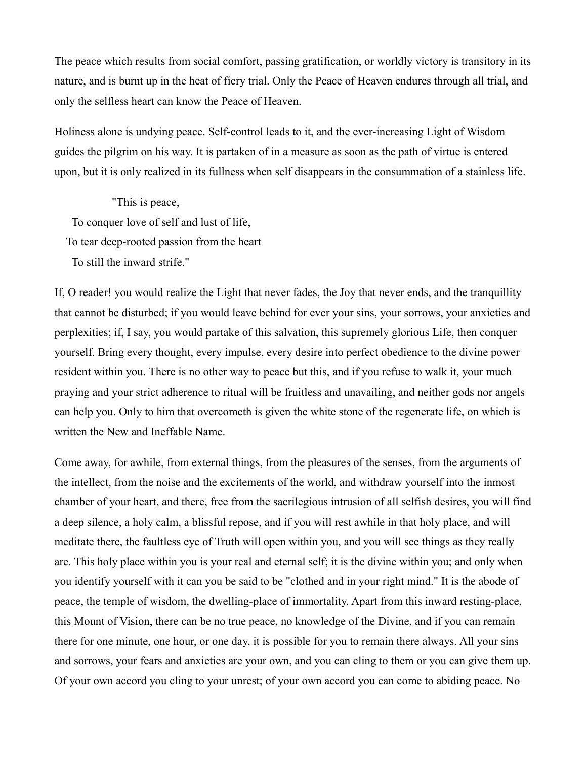The peace which results from social comfort, passing gratification, or worldly victory is transitory in its nature, and is burnt up in the heat of fiery trial. Only the Peace of Heaven endures through all trial, and only the selfless heart can know the Peace of Heaven.

Holiness alone is undying peace. Self-control leads to it, and the ever-increasing Light of Wisdom guides the pilgrim on his way. It is partaken of in a measure as soon as the path of virtue is entered upon, but it is only realized in its fullness when self disappears in the consummation of a stainless life.

"This is peace, To conquer love of self and lust of life, To tear deep-rooted passion from the heart To still the inward strife."

If, O reader! you would realize the Light that never fades, the Joy that never ends, and the tranquillity that cannot be disturbed; if you would leave behind for ever your sins, your sorrows, your anxieties and perplexities; if, I say, you would partake of this salvation, this supremely glorious Life, then conquer yourself. Bring every thought, every impulse, every desire into perfect obedience to the divine power resident within you. There is no other way to peace but this, and if you refuse to walk it, your much praying and your strict adherence to ritual will be fruitless and unavailing, and neither gods nor angels can help you. Only to him that overcometh is given the white stone of the regenerate life, on which is written the New and Ineffable Name.

Come away, for awhile, from external things, from the pleasures of the senses, from the arguments of the intellect, from the noise and the excitements of the world, and withdraw yourself into the inmost chamber of your heart, and there, free from the sacrilegious intrusion of all selfish desires, you will find a deep silence, a holy calm, a blissful repose, and if you will rest awhile in that holy place, and will meditate there, the faultless eye of Truth will open within you, and you will see things as they really are. This holy place within you is your real and eternal self; it is the divine within you; and only when you identify yourself with it can you be said to be "clothed and in your right mind." It is the abode of peace, the temple of wisdom, the dwelling-place of immortality. Apart from this inward resting-place, this Mount of Vision, there can be no true peace, no knowledge of the Divine, and if you can remain there for one minute, one hour, or one day, it is possible for you to remain there always. All your sins and sorrows, your fears and anxieties are your own, and you can cling to them or you can give them up. Of your own accord you cling to your unrest; of your own accord you can come to abiding peace. No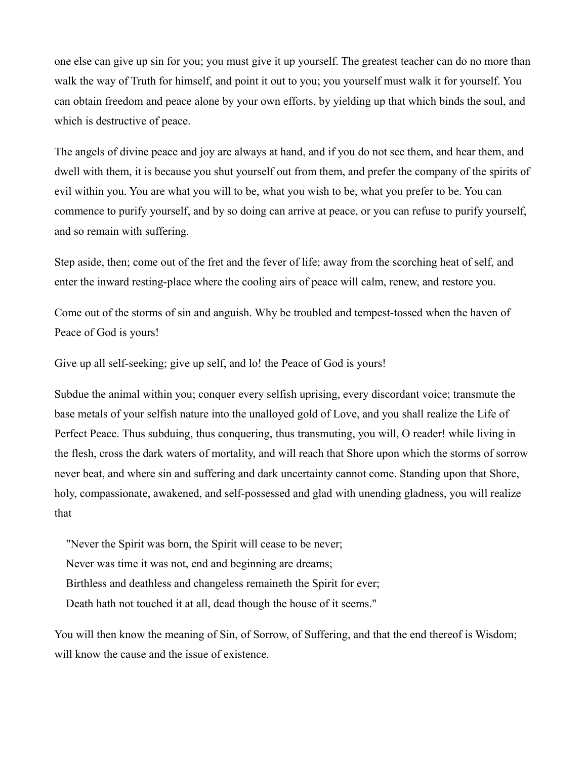one else can give up sin for you; you must give it up yourself. The greatest teacher can do no more than walk the way of Truth for himself, and point it out to you; you yourself must walk it for yourself. You can obtain freedom and peace alone by your own efforts, by yielding up that which binds the soul, and which is destructive of peace.

The angels of divine peace and joy are always at hand, and if you do not see them, and hear them, and dwell with them, it is because you shut yourself out from them, and prefer the company of the spirits of evil within you. You are what you will to be, what you wish to be, what you prefer to be. You can commence to purify yourself, and by so doing can arrive at peace, or you can refuse to purify yourself, and so remain with suffering.

Step aside, then; come out of the fret and the fever of life; away from the scorching heat of self, and enter the inward resting-place where the cooling airs of peace will calm, renew, and restore you.

Come out of the storms of sin and anguish. Why be troubled and tempest-tossed when the haven of Peace of God is yours!

Give up all self-seeking; give up self, and lo! the Peace of God is yours!

Subdue the animal within you; conquer every selfish uprising, every discordant voice; transmute the base metals of your selfish nature into the unalloyed gold of Love, and you shall realize the Life of Perfect Peace. Thus subduing, thus conquering, thus transmuting, you will, O reader! while living in the flesh, cross the dark waters of mortality, and will reach that Shore upon which the storms of sorrow never beat, and where sin and suffering and dark uncertainty cannot come. Standing upon that Shore, holy, compassionate, awakened, and self-possessed and glad with unending gladness, you will realize that

"Never the Spirit was born, the Spirit will cease to be never;

Never was time it was not, end and beginning are dreams;

Birthless and deathless and changeless remaineth the Spirit for ever;

Death hath not touched it at all, dead though the house of it seems."

You will then know the meaning of Sin, of Sorrow, of Suffering, and that the end thereof is Wisdom; will know the cause and the issue of existence.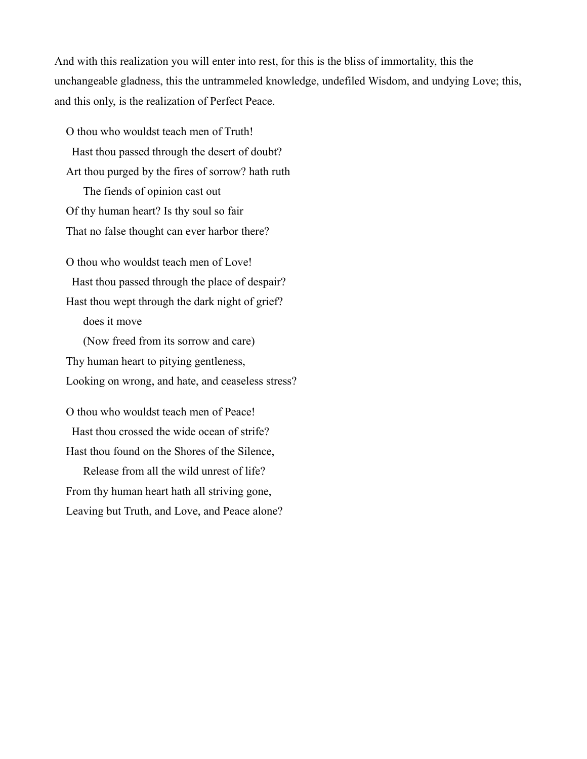And with this realization you will enter into rest, for this is the bliss of immortality, this the unchangeable gladness, this the untrammeled knowledge, undefiled Wisdom, and undying Love; this, and this only, is the realization of Perfect Peace.

O thou who wouldst teach men of Truth! Hast thou passed through the desert of doubt? Art thou purged by the fires of sorrow? hath ruth The fiends of opinion cast out Of thy human heart? Is thy soul so fair That no false thought can ever harbor there?

O thou who wouldst teach men of Love! Hast thou passed through the place of despair? Hast thou wept through the dark night of grief? does it move (Now freed from its sorrow and care) Thy human heart to pitying gentleness, Looking on wrong, and hate, and ceaseless stress?

O thou who wouldst teach men of Peace! Hast thou crossed the wide ocean of strife? Hast thou found on the Shores of the Silence,

Release from all the wild unrest of life? From thy human heart hath all striving gone, Leaving but Truth, and Love, and Peace alone?